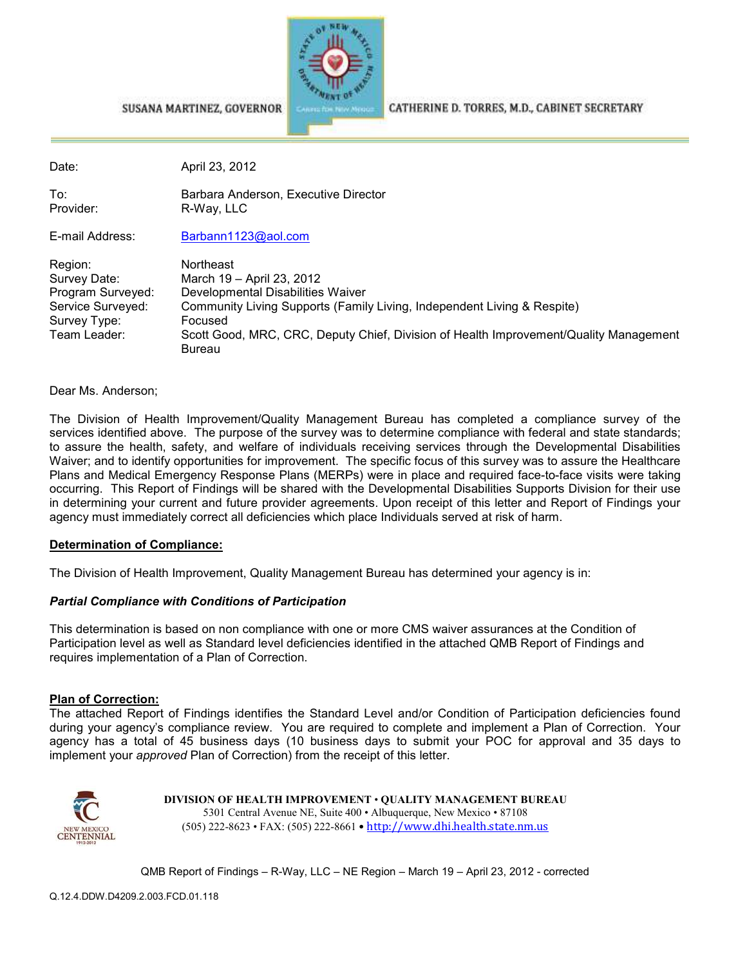

SUSANA MARTINEZ, GOVERNOR

CATHERINE D. TORRES, M.D., CABINET SECRETARY

Date: April 23, 2012

To: Barbara Anderson, Executive Director<br>Provider: R-Way IIC R-Way, LLC

E-mail Address: Barbann1123@aol.com

| Region:           | Northeast                                                                                       |
|-------------------|-------------------------------------------------------------------------------------------------|
| Survey Date:      | March 19 - April 23, 2012                                                                       |
| Program Surveyed: | Developmental Disabilities Waiver                                                               |
| Service Surveyed: | Community Living Supports (Family Living, Independent Living & Respite)                         |
| Survey Type:      | Focused                                                                                         |
| Team Leader:      | Scott Good, MRC, CRC, Deputy Chief, Division of Health Improvement/Quality Management<br>Bureau |

Dear Ms. Anderson;

The Division of Health Improvement/Quality Management Bureau has completed a compliance survey of the services identified above. The purpose of the survey was to determine compliance with federal and state standards; to assure the health, safety, and welfare of individuals receiving services through the Developmental Disabilities Waiver; and to identify opportunities for improvement. The specific focus of this survey was to assure the Healthcare Plans and Medical Emergency Response Plans (MERPs) were in place and required face-to-face visits were taking occurring. This Report of Findings will be shared with the Developmental Disabilities Supports Division for their use in determining your current and future provider agreements. Upon receipt of this letter and Report of Findings your agency must immediately correct all deficiencies which place Individuals served at risk of harm.

#### **Determination of Compliance:**

The Division of Health Improvement, Quality Management Bureau has determined your agency is in:

#### *Partial Compliance with Conditions of Participation*

This determination is based on non compliance with one or more CMS waiver assurances at the Condition of Participation level as well as Standard level deficiencies identified in the attached QMB Report of Findings and requires implementation of a Plan of Correction.

#### **Plan of Correction:**

The attached Report of Findings identifies the Standard Level and/or Condition of Participation deficiencies found during your agency's compliance review. You are required to complete and implement a Plan of Correction. Your agency has a total of 45 business days (10 business days to submit your POC for approval and 35 days to implement your *approved* Plan of Correction) from the receipt of this letter.



**DIVISION OF HEALTH IMPROVEMENT** • **QUALITY MANAGEMENT BUREAU** 5301 Central Avenue NE, Suite 400 • Albuquerque, New Mexico • 87108 (505) 222-8623 • FAX: (505) 222-8661 • http://www.dhi.health.state.nm.us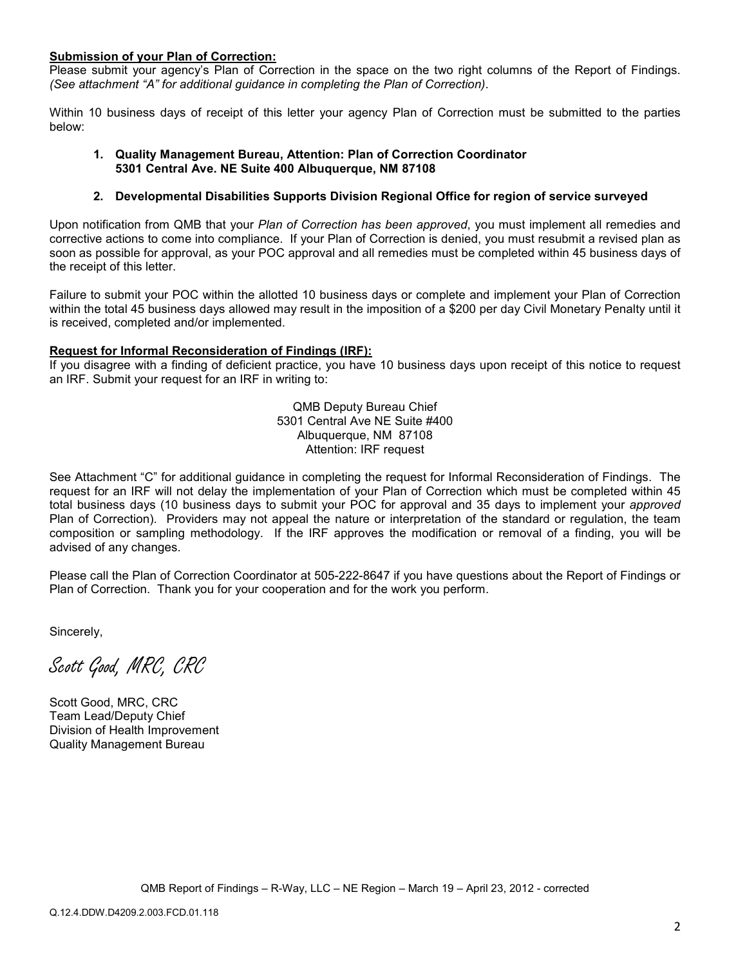#### **Submission of your Plan of Correction:**

Please submit your agency's Plan of Correction in the space on the two right columns of the Report of Findings. *(See attachment "A" for additional guidance in completing the Plan of Correction)*.

Within 10 business days of receipt of this letter your agency Plan of Correction must be submitted to the parties below:

#### **1. Quality Management Bureau, Attention: Plan of Correction Coordinator 5301 Central Ave. NE Suite 400 Albuquerque, NM 87108**

#### **2. Developmental Disabilities Supports Division Regional Office for region of service surveyed**

Upon notification from QMB that your *Plan of Correction has been approved*, you must implement all remedies and corrective actions to come into compliance. If your Plan of Correction is denied, you must resubmit a revised plan as soon as possible for approval, as your POC approval and all remedies must be completed within 45 business days of the receipt of this letter.

Failure to submit your POC within the allotted 10 business days or complete and implement your Plan of Correction within the total 45 business days allowed may result in the imposition of a \$200 per day Civil Monetary Penalty until it is received, completed and/or implemented.

#### **Request for Informal Reconsideration of Findings (IRF):**

If you disagree with a finding of deficient practice, you have 10 business days upon receipt of this notice to request an IRF. Submit your request for an IRF in writing to:

> QMB Deputy Bureau Chief 5301 Central Ave NE Suite #400 Albuquerque, NM 87108 Attention: IRF request

See Attachment "C" for additional guidance in completing the request for Informal Reconsideration of Findings. The request for an IRF will not delay the implementation of your Plan of Correction which must be completed within 45 total business days (10 business days to submit your POC for approval and 35 days to implement your *approved* Plan of Correction). Providers may not appeal the nature or interpretation of the standard or regulation, the team composition or sampling methodology. If the IRF approves the modification or removal of a finding, you will be advised of any changes.

Please call the Plan of Correction Coordinator at 505-222-8647 if you have questions about the Report of Findings or Plan of Correction. Thank you for your cooperation and for the work you perform.

Sincerely,

Scott Good, MRC, CRC

Scott Good, MRC, CRC Team Lead/Deputy Chief Division of Health Improvement Quality Management Bureau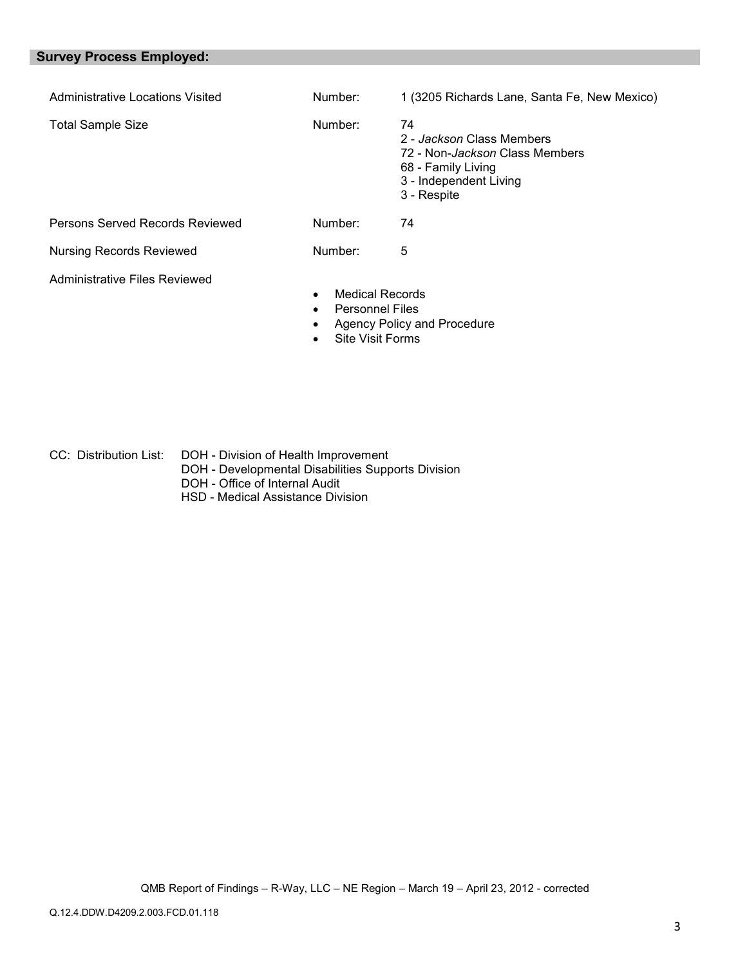# **Survey Process Employed:**

| Administrative Locations Visited | Number:                                                       | 1 (3205 Richards Lane, Santa Fe, New Mexico)                                                                                     |
|----------------------------------|---------------------------------------------------------------|----------------------------------------------------------------------------------------------------------------------------------|
| <b>Total Sample Size</b>         | Number:                                                       | 74<br>2 - Jackson Class Members<br>72 - Non-Jackson Class Members<br>68 - Family Living<br>3 - Independent Living<br>3 - Respite |
| Persons Served Records Reviewed  | Number:                                                       | 74                                                                                                                               |
| <b>Nursing Records Reviewed</b>  | Number:                                                       | 5                                                                                                                                |
| Administrative Files Reviewed    | <b>Medical Records</b><br><b>Personnel Files</b><br>$\bullet$ | Agency Policy and Procedure                                                                                                      |

• Site Visit Forms

CC: Distribution List: DOH - Division of Health Improvement DOH - Developmental Disabilities Supports Division DOH - Office of Internal Audit HSD - Medical Assistance Division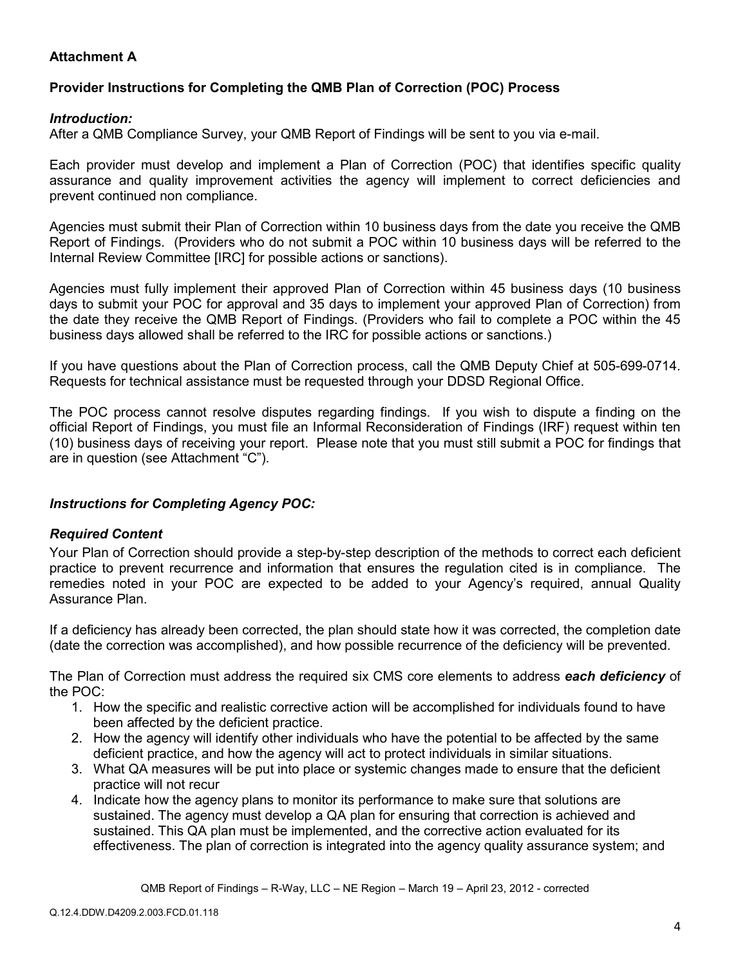# **Attachment A**

# **Provider Instructions for Completing the QMB Plan of Correction (POC) Process**

## *Introduction:*

After a QMB Compliance Survey, your QMB Report of Findings will be sent to you via e-mail.

Each provider must develop and implement a Plan of Correction (POC) that identifies specific quality assurance and quality improvement activities the agency will implement to correct deficiencies and prevent continued non compliance.

Agencies must submit their Plan of Correction within 10 business days from the date you receive the QMB Report of Findings. (Providers who do not submit a POC within 10 business days will be referred to the Internal Review Committee [IRC] for possible actions or sanctions).

Agencies must fully implement their approved Plan of Correction within 45 business days (10 business days to submit your POC for approval and 35 days to implement your approved Plan of Correction) from the date they receive the QMB Report of Findings. (Providers who fail to complete a POC within the 45 business days allowed shall be referred to the IRC for possible actions or sanctions.)

If you have questions about the Plan of Correction process, call the QMB Deputy Chief at 505-699-0714. Requests for technical assistance must be requested through your DDSD Regional Office.

The POC process cannot resolve disputes regarding findings. If you wish to dispute a finding on the official Report of Findings, you must file an Informal Reconsideration of Findings (IRF) request within ten (10) business days of receiving your report. Please note that you must still submit a POC for findings that are in question (see Attachment "C").

## *Instructions for Completing Agency POC:*

## *Required Content*

Your Plan of Correction should provide a step-by-step description of the methods to correct each deficient practice to prevent recurrence and information that ensures the regulation cited is in compliance. The remedies noted in your POC are expected to be added to your Agency's required, annual Quality Assurance Plan.

If a deficiency has already been corrected, the plan should state how it was corrected, the completion date (date the correction was accomplished), and how possible recurrence of the deficiency will be prevented.

The Plan of Correction must address the required six CMS core elements to address *each deficiency* of the POC:

- 1. How the specific and realistic corrective action will be accomplished for individuals found to have been affected by the deficient practice.
- 2. How the agency will identify other individuals who have the potential to be affected by the same deficient practice, and how the agency will act to protect individuals in similar situations.
- 3. What QA measures will be put into place or systemic changes made to ensure that the deficient practice will not recur
- 4. Indicate how the agency plans to monitor its performance to make sure that solutions are sustained. The agency must develop a QA plan for ensuring that correction is achieved and sustained. This QA plan must be implemented, and the corrective action evaluated for its effectiveness. The plan of correction is integrated into the agency quality assurance system; and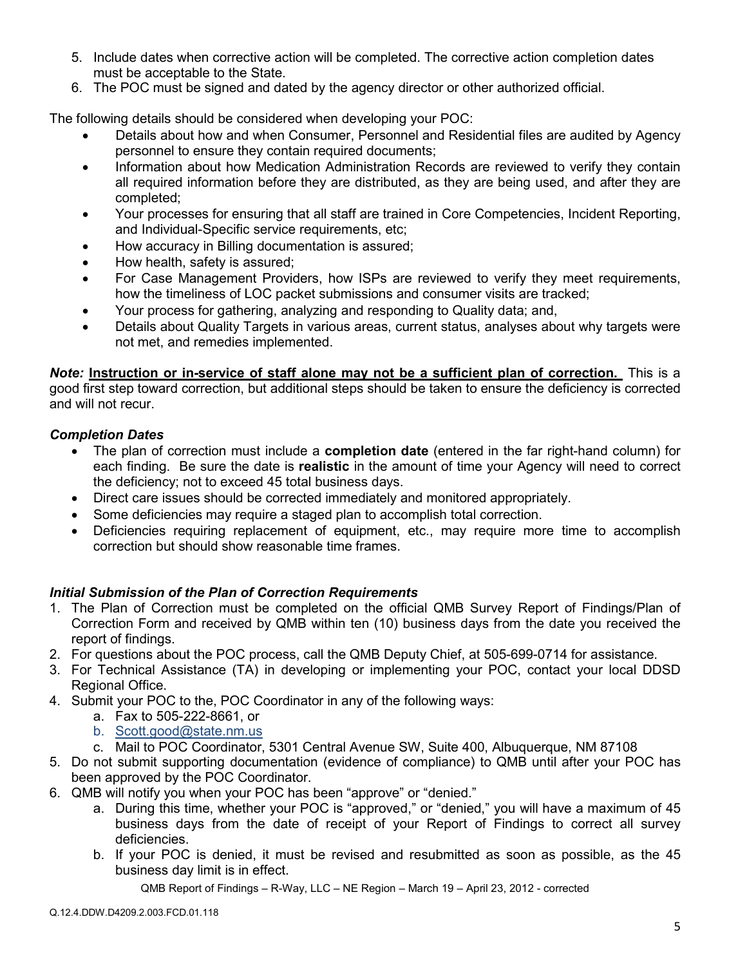- 5. Include dates when corrective action will be completed. The corrective action completion dates must be acceptable to the State.
- 6. The POC must be signed and dated by the agency director or other authorized official.

The following details should be considered when developing your POC:

- Details about how and when Consumer, Personnel and Residential files are audited by Agency personnel to ensure they contain required documents;
- Information about how Medication Administration Records are reviewed to verify they contain all required information before they are distributed, as they are being used, and after they are completed;
- Your processes for ensuring that all staff are trained in Core Competencies, Incident Reporting, and Individual-Specific service requirements, etc;
- How accuracy in Billing documentation is assured;
- How health, safety is assured;
- For Case Management Providers, how ISPs are reviewed to verify they meet requirements, how the timeliness of LOC packet submissions and consumer visits are tracked;
- Your process for gathering, analyzing and responding to Quality data; and,
- Details about Quality Targets in various areas, current status, analyses about why targets were not met, and remedies implemented.

*Note:* **Instruction or in-service of staff alone may not be a sufficient plan of correction.** This is a good first step toward correction, but additional steps should be taken to ensure the deficiency is corrected and will not recur.

# *Completion Dates*

- The plan of correction must include a **completion date** (entered in the far right-hand column) for each finding. Be sure the date is **realistic** in the amount of time your Agency will need to correct the deficiency; not to exceed 45 total business days.
- Direct care issues should be corrected immediately and monitored appropriately.
- Some deficiencies may require a staged plan to accomplish total correction.
- Deficiencies requiring replacement of equipment, etc., may require more time to accomplish correction but should show reasonable time frames.

## *Initial Submission of the Plan of Correction Requirements*

- 1. The Plan of Correction must be completed on the official QMB Survey Report of Findings/Plan of Correction Form and received by QMB within ten (10) business days from the date you received the report of findings.
- 2. For questions about the POC process, call the QMB Deputy Chief, at 505-699-0714 for assistance.
- 3. For Technical Assistance (TA) in developing or implementing your POC, contact your local DDSD Regional Office.
- 4. Submit your POC to the, POC Coordinator in any of the following ways:
	- a. Fax to 505-222-8661, or
	- b. Scott.good@state.nm.us
	- c. Mail to POC Coordinator, 5301 Central Avenue SW, Suite 400, Albuquerque, NM 87108
- 5. Do not submit supporting documentation (evidence of compliance) to QMB until after your POC has been approved by the POC Coordinator.
- 6. QMB will notify you when your POC has been "approve" or "denied."
	- a. During this time, whether your POC is "approved," or "denied," you will have a maximum of 45 business days from the date of receipt of your Report of Findings to correct all survey deficiencies.
	- b. If your POC is denied, it must be revised and resubmitted as soon as possible, as the 45 business day limit is in effect.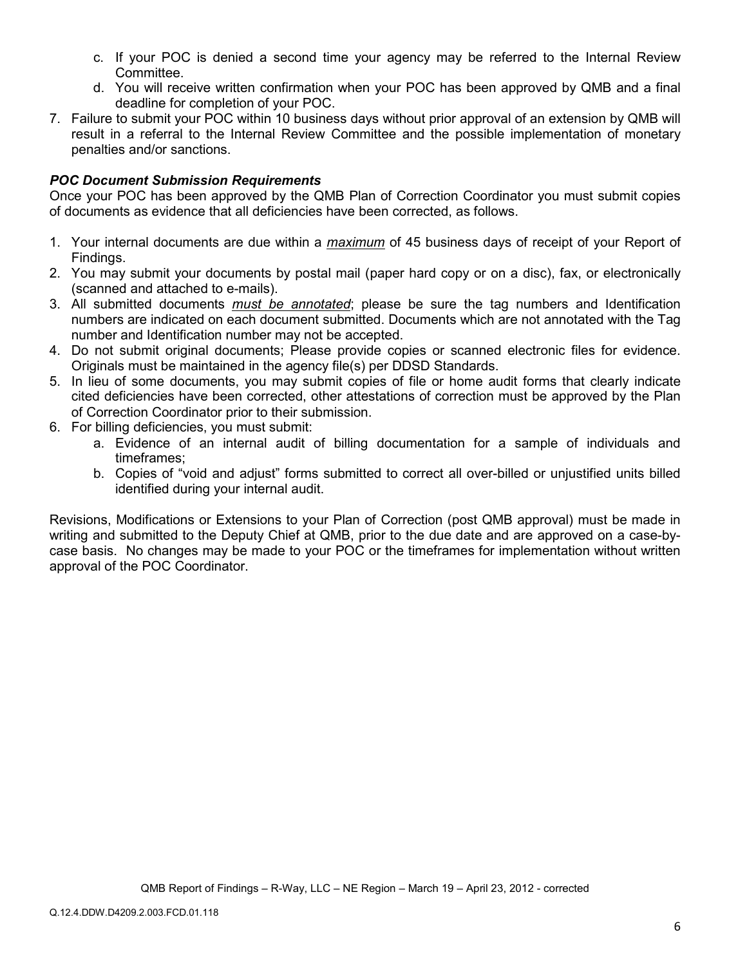- c. If your POC is denied a second time your agency may be referred to the Internal Review Committee.
- d. You will receive written confirmation when your POC has been approved by QMB and a final deadline for completion of your POC.
- 7. Failure to submit your POC within 10 business days without prior approval of an extension by QMB will result in a referral to the Internal Review Committee and the possible implementation of monetary penalties and/or sanctions.

## *POC Document Submission Requirements*

Once your POC has been approved by the QMB Plan of Correction Coordinator you must submit copies of documents as evidence that all deficiencies have been corrected, as follows.

- 1. Your internal documents are due within a *maximum* of 45 business days of receipt of your Report of Findings.
- 2. You may submit your documents by postal mail (paper hard copy or on a disc), fax, or electronically (scanned and attached to e-mails).
- 3. All submitted documents *must be annotated*; please be sure the tag numbers and Identification numbers are indicated on each document submitted. Documents which are not annotated with the Tag number and Identification number may not be accepted.
- 4. Do not submit original documents; Please provide copies or scanned electronic files for evidence. Originals must be maintained in the agency file(s) per DDSD Standards.
- 5. In lieu of some documents, you may submit copies of file or home audit forms that clearly indicate cited deficiencies have been corrected, other attestations of correction must be approved by the Plan of Correction Coordinator prior to their submission.
- 6. For billing deficiencies, you must submit:
	- a. Evidence of an internal audit of billing documentation for a sample of individuals and timeframes;
	- b. Copies of "void and adjust" forms submitted to correct all over-billed or unjustified units billed identified during your internal audit.

Revisions, Modifications or Extensions to your Plan of Correction (post QMB approval) must be made in writing and submitted to the Deputy Chief at QMB, prior to the due date and are approved on a case-bycase basis. No changes may be made to your POC or the timeframes for implementation without written approval of the POC Coordinator.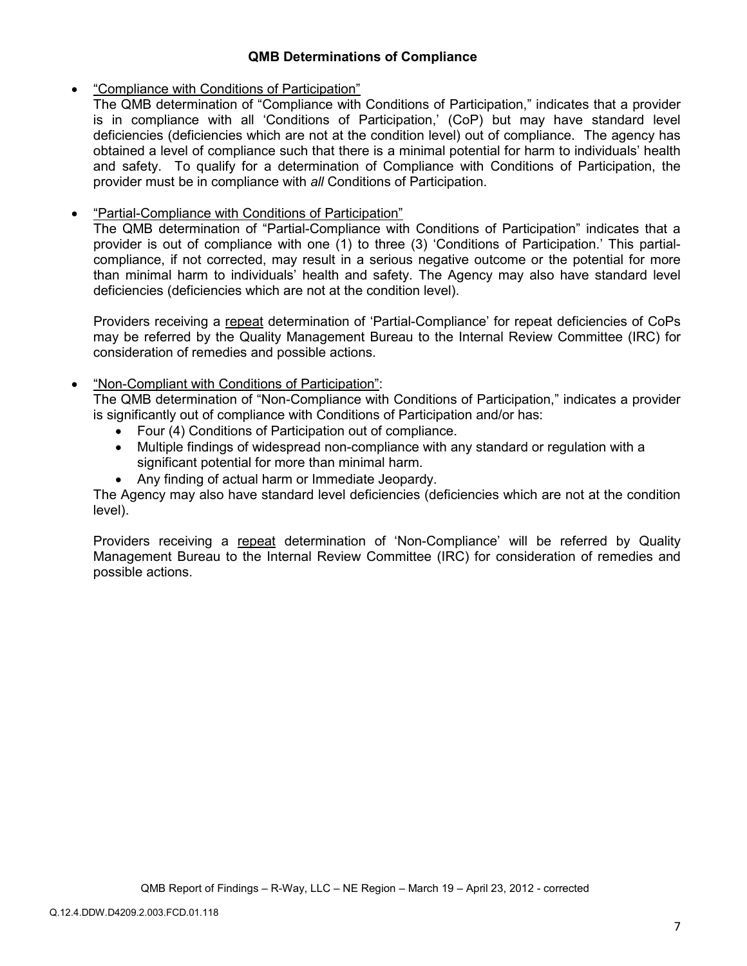## **QMB Determinations of Compliance**

### • "Compliance with Conditions of Participation"

The QMB determination of "Compliance with Conditions of Participation," indicates that a provider is in compliance with all 'Conditions of Participation,' (CoP) but may have standard level deficiencies (deficiencies which are not at the condition level) out of compliance. The agency has obtained a level of compliance such that there is a minimal potential for harm to individuals' health and safety. To qualify for a determination of Compliance with Conditions of Participation, the provider must be in compliance with *all* Conditions of Participation.

## • "Partial-Compliance with Conditions of Participation"

The QMB determination of "Partial-Compliance with Conditions of Participation" indicates that a provider is out of compliance with one (1) to three (3) 'Conditions of Participation.' This partialcompliance, if not corrected, may result in a serious negative outcome or the potential for more than minimal harm to individuals' health and safety. The Agency may also have standard level deficiencies (deficiencies which are not at the condition level).

Providers receiving a repeat determination of 'Partial-Compliance' for repeat deficiencies of CoPs may be referred by the Quality Management Bureau to the Internal Review Committee (IRC) for consideration of remedies and possible actions.

### • "Non-Compliant with Conditions of Participation":

The QMB determination of "Non-Compliance with Conditions of Participation," indicates a provider is significantly out of compliance with Conditions of Participation and/or has:

- Four (4) Conditions of Participation out of compliance.
- Multiple findings of widespread non-compliance with any standard or regulation with a significant potential for more than minimal harm.
- Any finding of actual harm or Immediate Jeopardy.

The Agency may also have standard level deficiencies (deficiencies which are not at the condition level).

Providers receiving a repeat determination of 'Non-Compliance' will be referred by Quality Management Bureau to the Internal Review Committee (IRC) for consideration of remedies and possible actions.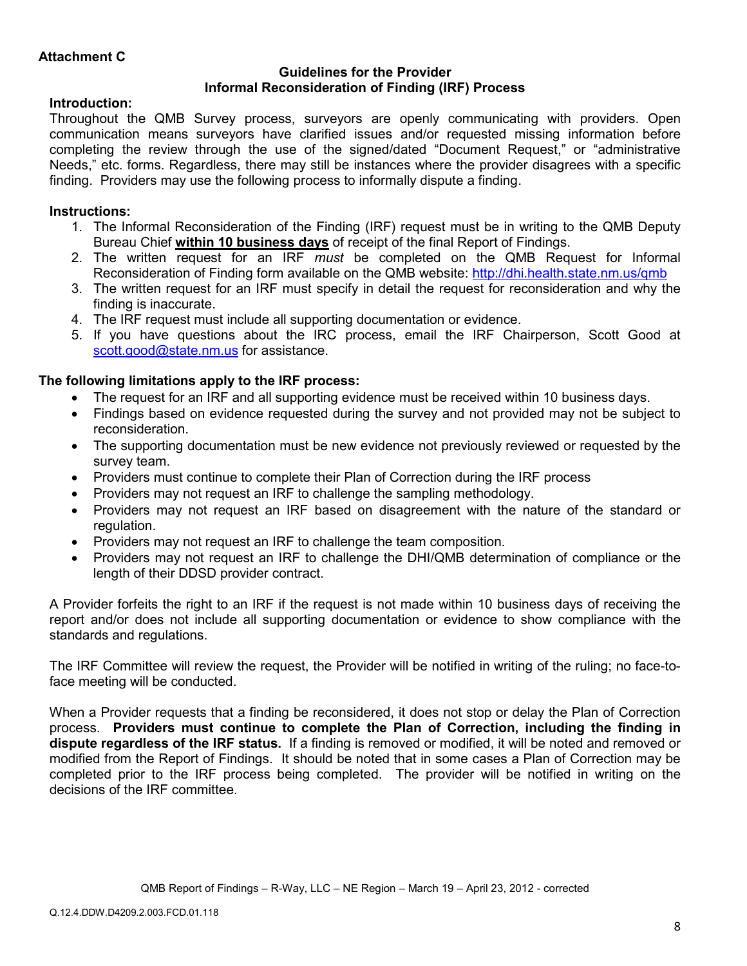## **Guidelines for the Provider Informal Reconsideration of Finding (IRF) Process**

# **Introduction:**

Throughout the QMB Survey process, surveyors are openly communicating with providers. Open communication means surveyors have clarified issues and/or requested missing information before completing the review through the use of the signed/dated "Document Request," or "administrative Needs," etc. forms. Regardless, there may still be instances where the provider disagrees with a specific finding. Providers may use the following process to informally dispute a finding.

# **Instructions:**

- 1. The Informal Reconsideration of the Finding (IRF) request must be in writing to the QMB Deputy Bureau Chief **within 10 business days** of receipt of the final Report of Findings.
- 2. The written request for an IRF *must* be completed on the QMB Request for Informal Reconsideration of Finding form available on the QMB website: http://dhi.health.state.nm.us/qmb
- 3. The written request for an IRF must specify in detail the request for reconsideration and why the finding is inaccurate.
- 4. The IRF request must include all supporting documentation or evidence.
- 5. If you have questions about the IRC process, email the IRF Chairperson, Scott Good at scott.good@state.nm.us for assistance.

# **The following limitations apply to the IRF process:**

- The request for an IRF and all supporting evidence must be received within 10 business days.
- Findings based on evidence requested during the survey and not provided may not be subject to reconsideration.
- The supporting documentation must be new evidence not previously reviewed or requested by the survey team.
- Providers must continue to complete their Plan of Correction during the IRF process
- Providers may not request an IRF to challenge the sampling methodology.
- Providers may not request an IRF based on disagreement with the nature of the standard or regulation.
- Providers may not request an IRF to challenge the team composition.
- Providers may not request an IRF to challenge the DHI/QMB determination of compliance or the length of their DDSD provider contract.

A Provider forfeits the right to an IRF if the request is not made within 10 business days of receiving the report and/or does not include all supporting documentation or evidence to show compliance with the standards and regulations.

The IRF Committee will review the request, the Provider will be notified in writing of the ruling; no face-toface meeting will be conducted.

When a Provider requests that a finding be reconsidered, it does not stop or delay the Plan of Correction process. **Providers must continue to complete the Plan of Correction, including the finding in dispute regardless of the IRF status.** If a finding is removed or modified, it will be noted and removed or modified from the Report of Findings. It should be noted that in some cases a Plan of Correction may be completed prior to the IRF process being completed. The provider will be notified in writing on the decisions of the IRF committee.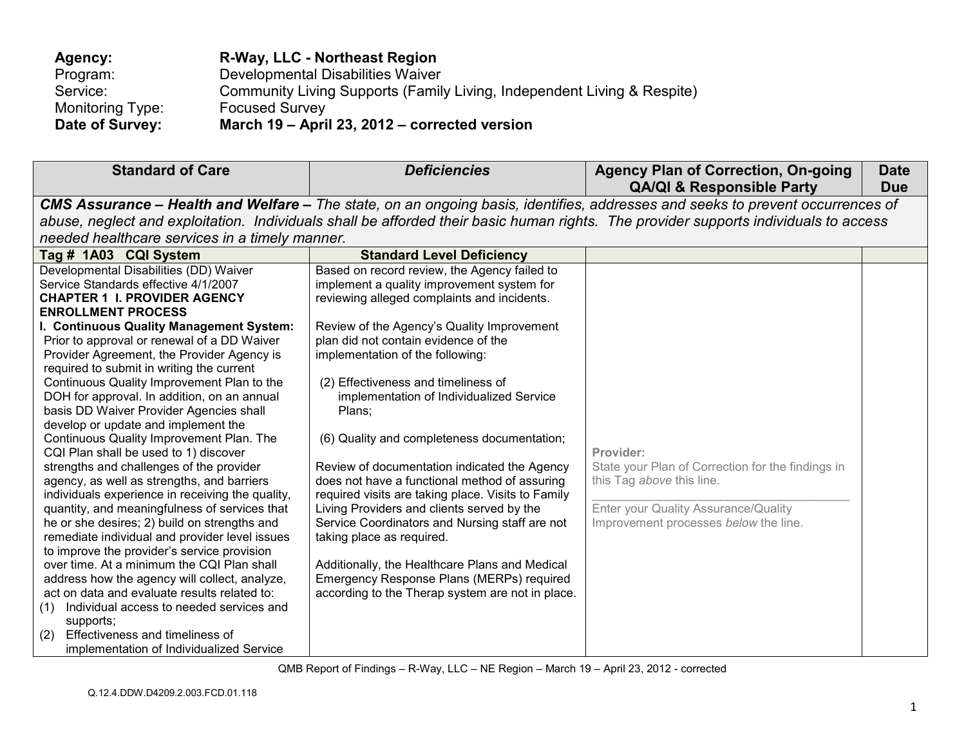| Agency:          | R-Way, LLC - Northeast Region                                           |
|------------------|-------------------------------------------------------------------------|
| Program:         | Developmental Disabilities Waiver                                       |
| Service:         | Community Living Supports (Family Living, Independent Living & Respite) |
| Monitoring Type: | <b>Focused Survey</b>                                                   |
| Date of Survey:  | March 19 - April 23, 2012 - corrected version                           |

| <b>Standard of Care</b>                                                                       | <b>Deficiencies</b>                                                                         | <b>Agency Plan of Correction, On-going</b><br><b>QA/QI &amp; Responsible Party</b>                                                   | <b>Date</b><br><b>Due</b> |
|-----------------------------------------------------------------------------------------------|---------------------------------------------------------------------------------------------|--------------------------------------------------------------------------------------------------------------------------------------|---------------------------|
|                                                                                               |                                                                                             | CMS Assurance – Health and Welfare – The state, on an ongoing basis, identifies, addresses and seeks to prevent occurrences of       |                           |
|                                                                                               |                                                                                             | abuse, neglect and exploitation. Individuals shall be afforded their basic human rights. The provider supports individuals to access |                           |
| needed healthcare services in a timely manner.                                                |                                                                                             |                                                                                                                                      |                           |
| Tag # 1A03 CQI System                                                                         | <b>Standard Level Deficiency</b>                                                            |                                                                                                                                      |                           |
| Developmental Disabilities (DD) Waiver                                                        | Based on record review, the Agency failed to                                                |                                                                                                                                      |                           |
| Service Standards effective 4/1/2007                                                          | implement a quality improvement system for                                                  |                                                                                                                                      |                           |
| <b>CHAPTER 1 I. PROVIDER AGENCY</b>                                                           | reviewing alleged complaints and incidents.                                                 |                                                                                                                                      |                           |
| <b>ENROLLMENT PROCESS</b>                                                                     |                                                                                             |                                                                                                                                      |                           |
| I. Continuous Quality Management System:                                                      | Review of the Agency's Quality Improvement                                                  |                                                                                                                                      |                           |
| Prior to approval or renewal of a DD Waiver                                                   | plan did not contain evidence of the                                                        |                                                                                                                                      |                           |
| Provider Agreement, the Provider Agency is                                                    | implementation of the following:                                                            |                                                                                                                                      |                           |
| required to submit in writing the current                                                     |                                                                                             |                                                                                                                                      |                           |
| Continuous Quality Improvement Plan to the                                                    | (2) Effectiveness and timeliness of                                                         |                                                                                                                                      |                           |
| DOH for approval. In addition, on an annual                                                   | implementation of Individualized Service                                                    |                                                                                                                                      |                           |
| basis DD Waiver Provider Agencies shall                                                       | Plans;                                                                                      |                                                                                                                                      |                           |
| develop or update and implement the                                                           |                                                                                             |                                                                                                                                      |                           |
| Continuous Quality Improvement Plan. The                                                      | (6) Quality and completeness documentation;                                                 |                                                                                                                                      |                           |
| CQI Plan shall be used to 1) discover                                                         |                                                                                             | Provider:                                                                                                                            |                           |
| strengths and challenges of the provider                                                      | Review of documentation indicated the Agency                                                | State your Plan of Correction for the findings in                                                                                    |                           |
| agency, as well as strengths, and barriers                                                    | does not have a functional method of assuring                                               | this Tag above this line.                                                                                                            |                           |
| individuals experience in receiving the quality,                                              | required visits are taking place. Visits to Family                                          |                                                                                                                                      |                           |
| quantity, and meaningfulness of services that                                                 | Living Providers and clients served by the                                                  | Enter your Quality Assurance/Quality                                                                                                 |                           |
| he or she desires; 2) build on strengths and                                                  | Service Coordinators and Nursing staff are not                                              | Improvement processes below the line.                                                                                                |                           |
| remediate individual and provider level issues                                                | taking place as required.                                                                   |                                                                                                                                      |                           |
| to improve the provider's service provision<br>over time. At a minimum the CQI Plan shall     |                                                                                             |                                                                                                                                      |                           |
|                                                                                               | Additionally, the Healthcare Plans and Medical<br>Emergency Response Plans (MERPs) required |                                                                                                                                      |                           |
| address how the agency will collect, analyze,<br>act on data and evaluate results related to: | according to the Therap system are not in place.                                            |                                                                                                                                      |                           |
| Individual access to needed services and                                                      |                                                                                             |                                                                                                                                      |                           |
| (1)<br>supports;                                                                              |                                                                                             |                                                                                                                                      |                           |
| Effectiveness and timeliness of<br>(2)                                                        |                                                                                             |                                                                                                                                      |                           |
| implementation of Individualized Service                                                      |                                                                                             |                                                                                                                                      |                           |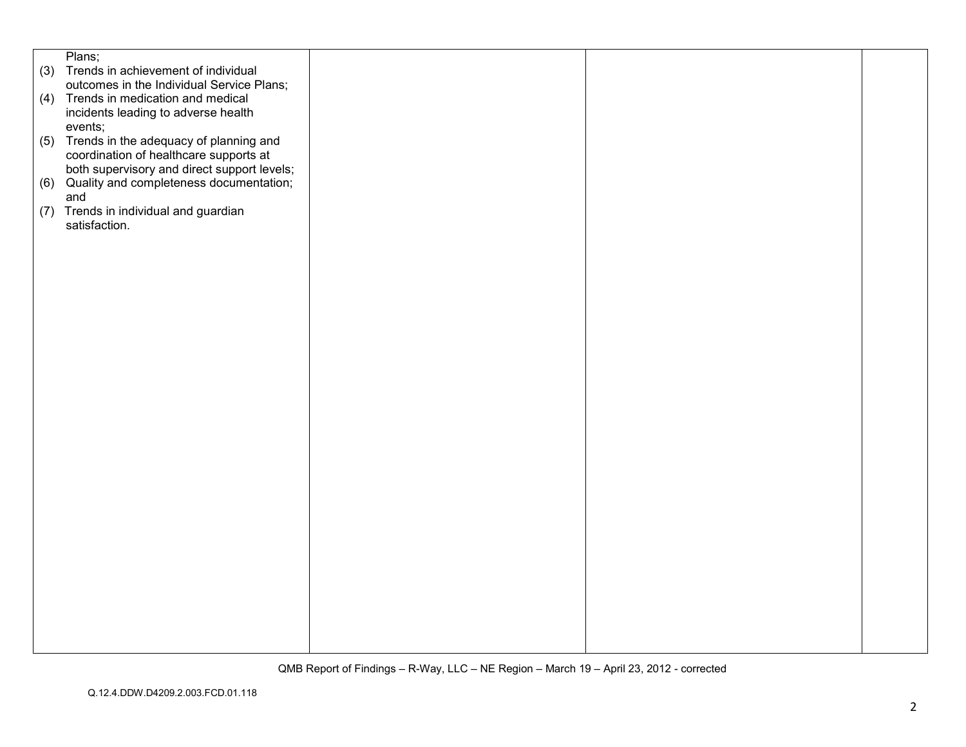|     | Plans;                                      |  |  |
|-----|---------------------------------------------|--|--|
|     | (3) Trends in achievement of individual     |  |  |
|     | outcomes in the Individual Service Plans;   |  |  |
|     |                                             |  |  |
|     | (4) Trends in medication and medical        |  |  |
|     | incidents leading to adverse health         |  |  |
|     | events;                                     |  |  |
|     | (5) Trends in the adequacy of planning and  |  |  |
|     | coordination of healthcare supports at      |  |  |
|     | both supervisory and direct support levels; |  |  |
|     | (6) Quality and completeness documentation; |  |  |
|     | and                                         |  |  |
| (7) | Trends in individual and guardian           |  |  |
|     | satisfaction.                               |  |  |
|     |                                             |  |  |
|     |                                             |  |  |
|     |                                             |  |  |
|     |                                             |  |  |
|     |                                             |  |  |
|     |                                             |  |  |
|     |                                             |  |  |
|     |                                             |  |  |
|     |                                             |  |  |
|     |                                             |  |  |
|     |                                             |  |  |
|     |                                             |  |  |
|     |                                             |  |  |
|     |                                             |  |  |
|     |                                             |  |  |
|     |                                             |  |  |
|     |                                             |  |  |
|     |                                             |  |  |
|     |                                             |  |  |
|     |                                             |  |  |
|     |                                             |  |  |
|     |                                             |  |  |
|     |                                             |  |  |
|     |                                             |  |  |
|     |                                             |  |  |
|     |                                             |  |  |
|     |                                             |  |  |
|     |                                             |  |  |
|     |                                             |  |  |
|     |                                             |  |  |
|     |                                             |  |  |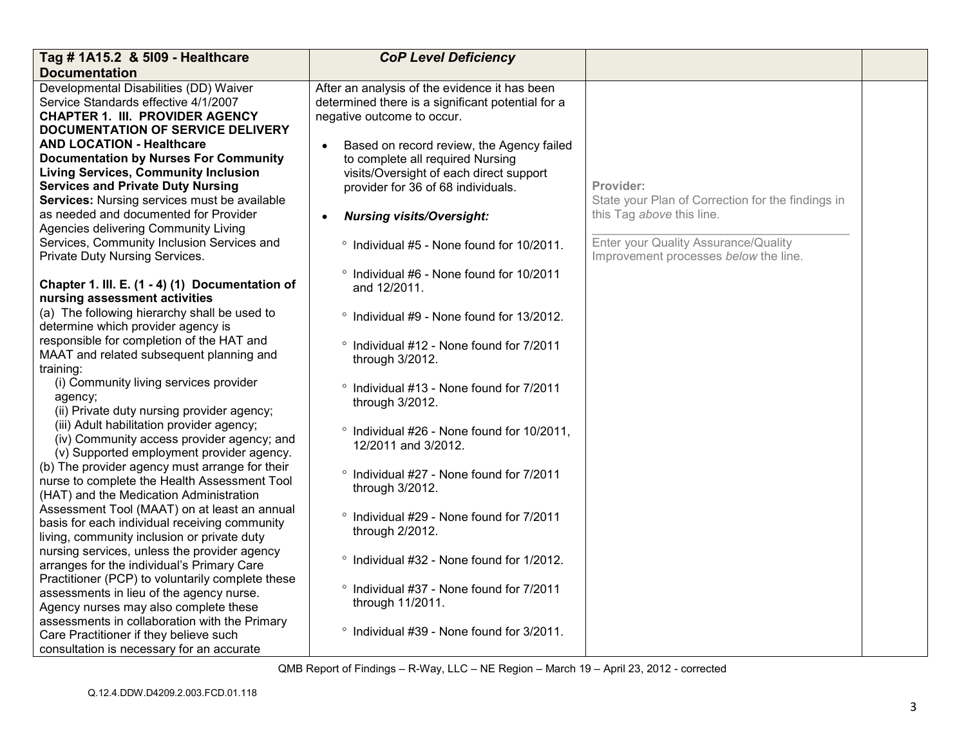| Tag # 1A15.2 & 5109 - Healthcare                                                                                                                                                                                                                                                                             | <b>CoP Level Deficiency</b>                                                                                                                                                                                     |                                                                                             |  |
|--------------------------------------------------------------------------------------------------------------------------------------------------------------------------------------------------------------------------------------------------------------------------------------------------------------|-----------------------------------------------------------------------------------------------------------------------------------------------------------------------------------------------------------------|---------------------------------------------------------------------------------------------|--|
| <b>Documentation</b>                                                                                                                                                                                                                                                                                         |                                                                                                                                                                                                                 |                                                                                             |  |
| Developmental Disabilities (DD) Waiver<br>Service Standards effective 4/1/2007<br><b>CHAPTER 1. III. PROVIDER AGENCY</b><br><b>DOCUMENTATION OF SERVICE DELIVERY</b>                                                                                                                                         | After an analysis of the evidence it has been<br>determined there is a significant potential for a<br>negative outcome to occur.                                                                                |                                                                                             |  |
| <b>AND LOCATION - Healthcare</b><br><b>Documentation by Nurses For Community</b><br><b>Living Services, Community Inclusion</b><br><b>Services and Private Duty Nursing</b><br>Services: Nursing services must be available<br>as needed and documented for Provider<br>Agencies delivering Community Living | Based on record review, the Agency failed<br>to complete all required Nursing<br>visits/Oversight of each direct support<br>provider for 36 of 68 individuals.<br><b>Nursing visits/Oversight:</b><br>$\bullet$ | Provider:<br>State your Plan of Correction for the findings in<br>this Tag above this line. |  |
| Services, Community Inclusion Services and<br>Private Duty Nursing Services.                                                                                                                                                                                                                                 | ° Individual #5 - None found for 10/2011.                                                                                                                                                                       | Enter your Quality Assurance/Quality<br>Improvement processes below the line.               |  |
| Chapter 1. III. E. (1 - 4) (1) Documentation of<br>nursing assessment activities                                                                                                                                                                                                                             | ° Individual #6 - None found for 10/2011<br>and 12/2011.                                                                                                                                                        |                                                                                             |  |
| (a) The following hierarchy shall be used to<br>determine which provider agency is                                                                                                                                                                                                                           | ° Individual #9 - None found for 13/2012.                                                                                                                                                                       |                                                                                             |  |
| responsible for completion of the HAT and<br>MAAT and related subsequent planning and<br>training:                                                                                                                                                                                                           | ° Individual #12 - None found for 7/2011<br>through 3/2012.                                                                                                                                                     |                                                                                             |  |
| (i) Community living services provider<br>agency;<br>(ii) Private duty nursing provider agency;                                                                                                                                                                                                              | Individual #13 - None found for 7/2011<br>through 3/2012.                                                                                                                                                       |                                                                                             |  |
| (iii) Adult habilitation provider agency;<br>(iv) Community access provider agency; and<br>(v) Supported employment provider agency.                                                                                                                                                                         | ° Individual #26 - None found for 10/2011,<br>12/2011 and 3/2012.                                                                                                                                               |                                                                                             |  |
| (b) The provider agency must arrange for their<br>nurse to complete the Health Assessment Tool<br>(HAT) and the Medication Administration                                                                                                                                                                    | Individual #27 - None found for 7/2011<br>through 3/2012.                                                                                                                                                       |                                                                                             |  |
| Assessment Tool (MAAT) on at least an annual<br>basis for each individual receiving community<br>living, community inclusion or private duty                                                                                                                                                                 | ° Individual #29 - None found for 7/2011<br>through 2/2012.                                                                                                                                                     |                                                                                             |  |
| nursing services, unless the provider agency<br>arranges for the individual's Primary Care<br>Practitioner (PCP) to voluntarily complete these                                                                                                                                                               | ° Individual #32 - None found for 1/2012.                                                                                                                                                                       |                                                                                             |  |
| assessments in lieu of the agency nurse.<br>Agency nurses may also complete these                                                                                                                                                                                                                            | ° Individual #37 - None found for 7/2011<br>through 11/2011.                                                                                                                                                    |                                                                                             |  |
| assessments in collaboration with the Primary<br>Care Practitioner if they believe such<br>consultation is necessary for an accurate                                                                                                                                                                         | ° Individual #39 - None found for 3/2011.                                                                                                                                                                       |                                                                                             |  |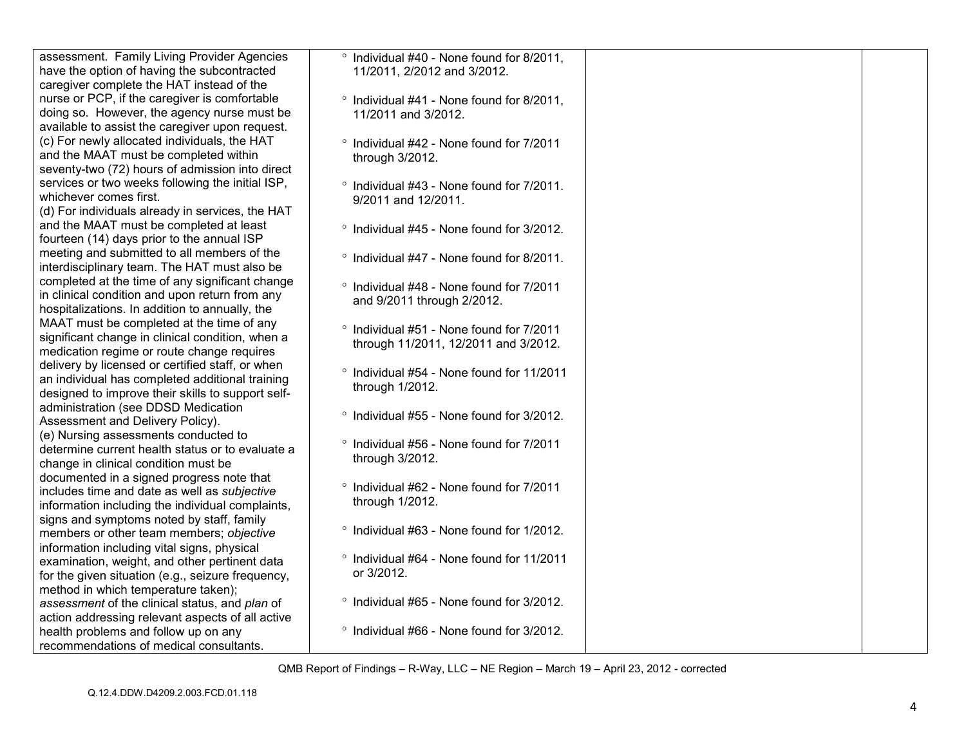| assessment. Family Living Provider Agencies       | <sup>o</sup> Individual #40 - None found for 8/2011, |  |
|---------------------------------------------------|------------------------------------------------------|--|
| have the option of having the subcontracted       | 11/2011, 2/2012 and 3/2012.                          |  |
| caregiver complete the HAT instead of the         |                                                      |  |
| nurse or PCP, if the caregiver is comfortable     | ° Individual #41 - None found for 8/2011,            |  |
| doing so. However, the agency nurse must be       |                                                      |  |
|                                                   | 11/2011 and 3/2012.                                  |  |
| available to assist the caregiver upon request.   |                                                      |  |
| (c) For newly allocated individuals, the HAT      | ° Individual #42 - None found for 7/2011             |  |
| and the MAAT must be completed within             | through 3/2012.                                      |  |
| seventy-two (72) hours of admission into direct   |                                                      |  |
| services or two weeks following the initial ISP,  | ° Individual #43 - None found for 7/2011.            |  |
| whichever comes first.                            | 9/2011 and 12/2011.                                  |  |
| (d) For individuals already in services, the HAT  |                                                      |  |
| and the MAAT must be completed at least           |                                                      |  |
| fourteen (14) days prior to the annual ISP        | ° Individual #45 - None found for 3/2012.            |  |
|                                                   |                                                      |  |
| meeting and submitted to all members of the       | ° Individual #47 - None found for 8/2011.            |  |
| interdisciplinary team. The HAT must also be      |                                                      |  |
| completed at the time of any significant change   | ° Individual #48 - None found for 7/2011             |  |
| in clinical condition and upon return from any    | and 9/2011 through 2/2012.                           |  |
| hospitalizations. In addition to annually, the    |                                                      |  |
| MAAT must be completed at the time of any         | ° Individual #51 - None found for 7/2011             |  |
| significant change in clinical condition, when a  |                                                      |  |
| medication regime or route change requires        | through 11/2011, 12/2011 and 3/2012.                 |  |
| delivery by licensed or certified staff, or when  |                                                      |  |
| an individual has completed additional training   | ° Individual #54 - None found for 11/2011            |  |
| designed to improve their skills to support self- | through 1/2012.                                      |  |
| administration (see DDSD Medication               |                                                      |  |
|                                                   | ° Individual #55 - None found for 3/2012.            |  |
| Assessment and Delivery Policy).                  |                                                      |  |
| (e) Nursing assessments conducted to              | ° Individual #56 - None found for 7/2011             |  |
| determine current health status or to evaluate a  | through 3/2012.                                      |  |
| change in clinical condition must be              |                                                      |  |
| documented in a signed progress note that         |                                                      |  |
| includes time and date as well as subjective      | ° Individual #62 - None found for 7/2011             |  |
| information including the individual complaints,  | through 1/2012.                                      |  |
| signs and symptoms noted by staff, family         |                                                      |  |
| members or other team members; objective          | ° Individual #63 - None found for 1/2012.            |  |
| information including vital signs, physical       |                                                      |  |
| examination, weight, and other pertinent data     | <sup>o</sup> Individual #64 - None found for 11/2011 |  |
|                                                   | or 3/2012.                                           |  |
| for the given situation (e.g., seizure frequency, |                                                      |  |
| method in which temperature taken);               |                                                      |  |
| assessment of the clinical status, and plan of    | ° Individual #65 - None found for 3/2012.            |  |
| action addressing relevant aspects of all active  |                                                      |  |
| health problems and follow up on any              | ° Individual #66 - None found for 3/2012.            |  |
| recommendations of medical consultants.           |                                                      |  |
|                                                   |                                                      |  |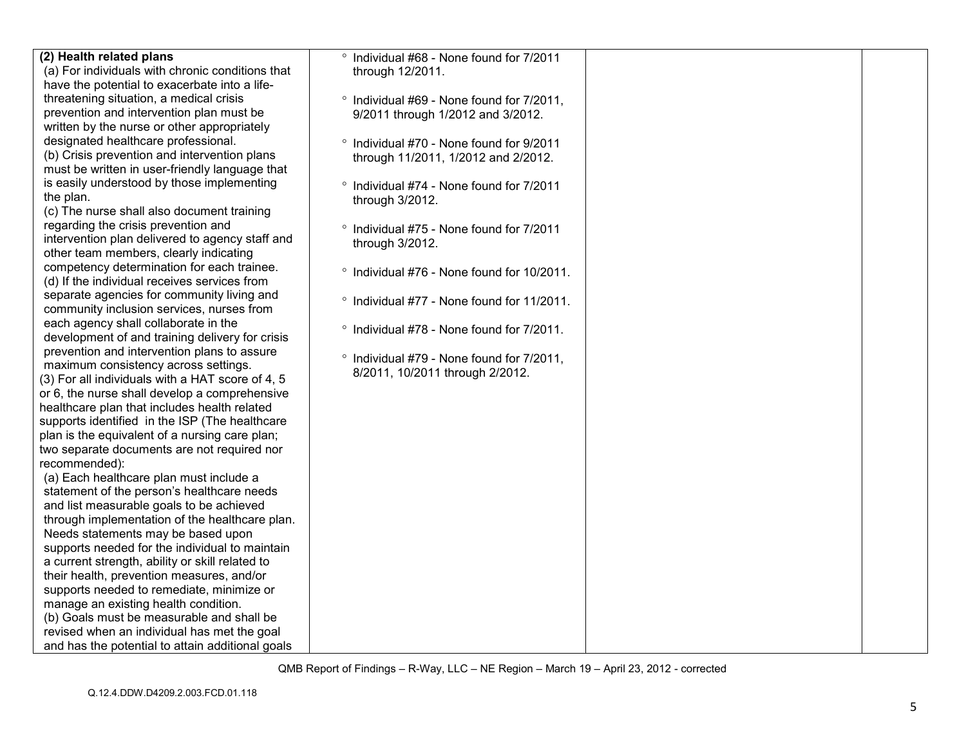| (2) Health related plans                                                             | ° Individual #68 - None found for 7/2011              |  |
|--------------------------------------------------------------------------------------|-------------------------------------------------------|--|
| (a) For individuals with chronic conditions that                                     | through 12/2011.                                      |  |
| have the potential to exacerbate into a life-                                        |                                                       |  |
| threatening situation, a medical crisis                                              | ° Individual #69 - None found for 7/2011,             |  |
| prevention and intervention plan must be                                             | 9/2011 through 1/2012 and 3/2012.                     |  |
| written by the nurse or other appropriately                                          |                                                       |  |
| designated healthcare professional.                                                  | ° Individual #70 - None found for 9/2011              |  |
| (b) Crisis prevention and intervention plans                                         | through 11/2011, 1/2012 and 2/2012.                   |  |
| must be written in user-friendly language that                                       |                                                       |  |
| is easily understood by those implementing                                           | ° Individual #74 - None found for 7/2011              |  |
| the plan.                                                                            | through 3/2012.                                       |  |
| (c) The nurse shall also document training                                           |                                                       |  |
| regarding the crisis prevention and                                                  | ° Individual #75 - None found for 7/2011              |  |
| intervention plan delivered to agency staff and                                      | through 3/2012.                                       |  |
| other team members, clearly indicating                                               |                                                       |  |
| competency determination for each trainee.                                           | <sup>o</sup> Individual #76 - None found for 10/2011. |  |
| (d) If the individual receives services from                                         |                                                       |  |
| separate agencies for community living and                                           | ° Individual #77 - None found for 11/2011.            |  |
| community inclusion services, nurses from                                            |                                                       |  |
| each agency shall collaborate in the                                                 | ° Individual #78 - None found for 7/2011.             |  |
| development of and training delivery for crisis                                      |                                                       |  |
| prevention and intervention plans to assure                                          | ° Individual #79 - None found for 7/2011,             |  |
| maximum consistency across settings.                                                 | 8/2011, 10/2011 through 2/2012.                       |  |
| (3) For all individuals with a HAT score of 4, 5                                     |                                                       |  |
| or 6, the nurse shall develop a comprehensive                                        |                                                       |  |
| healthcare plan that includes health related                                         |                                                       |  |
| supports identified in the ISP (The healthcare                                       |                                                       |  |
| plan is the equivalent of a nursing care plan;                                       |                                                       |  |
| two separate documents are not required nor                                          |                                                       |  |
| recommended):                                                                        |                                                       |  |
| (a) Each healthcare plan must include a                                              |                                                       |  |
| statement of the person's healthcare needs                                           |                                                       |  |
| and list measurable goals to be achieved                                             |                                                       |  |
| through implementation of the healthcare plan.<br>Needs statements may be based upon |                                                       |  |
| supports needed for the individual to maintain                                       |                                                       |  |
| a current strength, ability or skill related to                                      |                                                       |  |
| their health, prevention measures, and/or                                            |                                                       |  |
| supports needed to remediate, minimize or                                            |                                                       |  |
| manage an existing health condition.                                                 |                                                       |  |
| (b) Goals must be measurable and shall be                                            |                                                       |  |
| revised when an individual has met the goal                                          |                                                       |  |
| and has the potential to attain additional goals                                     |                                                       |  |
|                                                                                      |                                                       |  |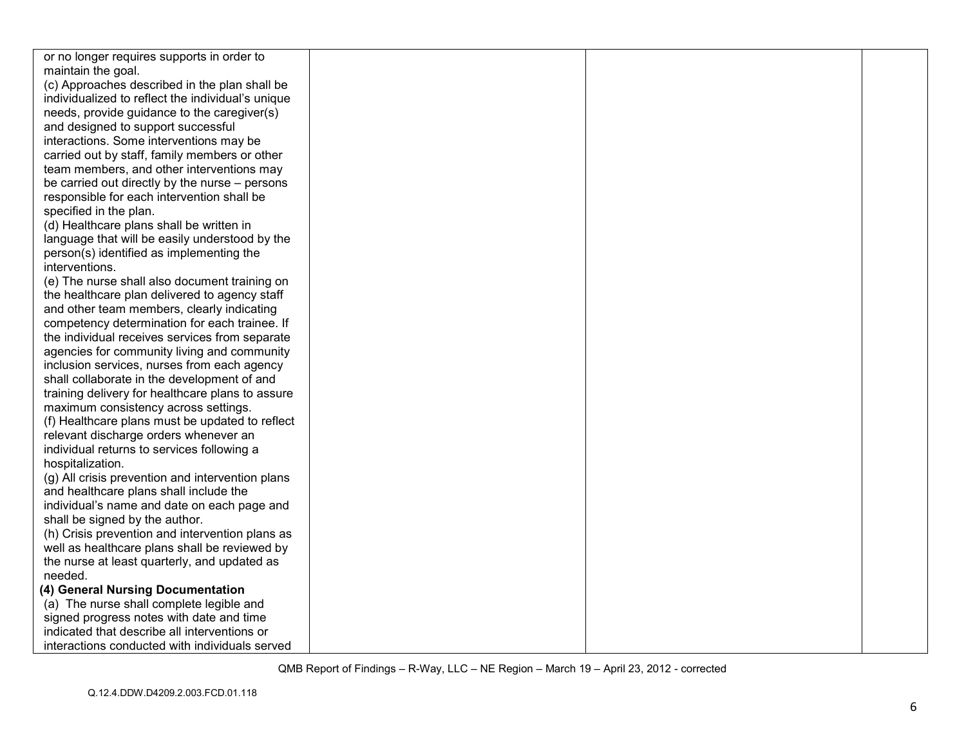| or no longer requires supports in order to        |  |  |
|---------------------------------------------------|--|--|
| maintain the goal.                                |  |  |
| (c) Approaches described in the plan shall be     |  |  |
| individualized to reflect the individual's unique |  |  |
| needs, provide guidance to the caregiver(s)       |  |  |
| and designed to support successful                |  |  |
| interactions. Some interventions may be           |  |  |
| carried out by staff, family members or other     |  |  |
| team members, and other interventions may         |  |  |
| be carried out directly by the nurse - persons    |  |  |
| responsible for each intervention shall be        |  |  |
| specified in the plan.                            |  |  |
| (d) Healthcare plans shall be written in          |  |  |
| language that will be easily understood by the    |  |  |
| person(s) identified as implementing the          |  |  |
| interventions.                                    |  |  |
| (e) The nurse shall also document training on     |  |  |
| the healthcare plan delivered to agency staff     |  |  |
| and other team members, clearly indicating        |  |  |
| competency determination for each trainee. If     |  |  |
| the individual receives services from separate    |  |  |
| agencies for community living and community       |  |  |
| inclusion services, nurses from each agency       |  |  |
| shall collaborate in the development of and       |  |  |
| training delivery for healthcare plans to assure  |  |  |
| maximum consistency across settings.              |  |  |
| (f) Healthcare plans must be updated to reflect   |  |  |
| relevant discharge orders whenever an             |  |  |
| individual returns to services following a        |  |  |
| hospitalization.                                  |  |  |
| (g) All crisis prevention and intervention plans  |  |  |
| and healthcare plans shall include the            |  |  |
| individual's name and date on each page and       |  |  |
| shall be signed by the author.                    |  |  |
| (h) Crisis prevention and intervention plans as   |  |  |
| well as healthcare plans shall be reviewed by     |  |  |
| the nurse at least quarterly, and updated as      |  |  |
| needed.                                           |  |  |
| (4) General Nursing Documentation                 |  |  |
| (a) The nurse shall complete legible and          |  |  |
| signed progress notes with date and time          |  |  |
| indicated that describe all interventions or      |  |  |
| interactions conducted with individuals served    |  |  |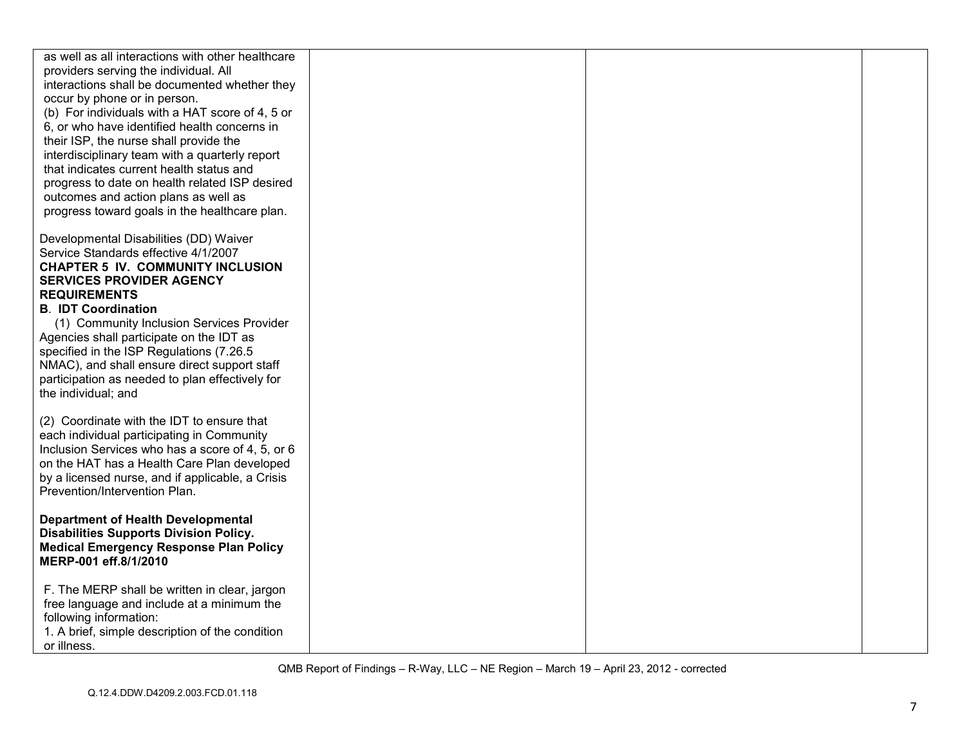| as well as all interactions with other healthcare                                               |  |  |
|-------------------------------------------------------------------------------------------------|--|--|
| providers serving the individual. All                                                           |  |  |
| interactions shall be documented whether they                                                   |  |  |
| occur by phone or in person.                                                                    |  |  |
| (b) For individuals with a HAT score of 4, 5 or<br>6, or who have identified health concerns in |  |  |
| their ISP, the nurse shall provide the                                                          |  |  |
| interdisciplinary team with a quarterly report                                                  |  |  |
| that indicates current health status and                                                        |  |  |
| progress to date on health related ISP desired                                                  |  |  |
| outcomes and action plans as well as                                                            |  |  |
| progress toward goals in the healthcare plan.                                                   |  |  |
|                                                                                                 |  |  |
| Developmental Disabilities (DD) Waiver                                                          |  |  |
| Service Standards effective 4/1/2007<br><b>CHAPTER 5 IV. COMMUNITY INCLUSION</b>                |  |  |
| <b>SERVICES PROVIDER AGENCY</b>                                                                 |  |  |
| <b>REQUIREMENTS</b>                                                                             |  |  |
| <b>B. IDT Coordination</b>                                                                      |  |  |
| (1) Community Inclusion Services Provider                                                       |  |  |
| Agencies shall participate on the IDT as                                                        |  |  |
| specified in the ISP Regulations (7.26.5                                                        |  |  |
| NMAC), and shall ensure direct support staff                                                    |  |  |
| participation as needed to plan effectively for                                                 |  |  |
| the individual; and                                                                             |  |  |
| (2) Coordinate with the IDT to ensure that                                                      |  |  |
| each individual participating in Community                                                      |  |  |
| Inclusion Services who has a score of 4, 5, or 6                                                |  |  |
| on the HAT has a Health Care Plan developed                                                     |  |  |
| by a licensed nurse, and if applicable, a Crisis                                                |  |  |
| Prevention/Intervention Plan.                                                                   |  |  |
|                                                                                                 |  |  |
| <b>Department of Health Developmental</b><br><b>Disabilities Supports Division Policy.</b>      |  |  |
| <b>Medical Emergency Response Plan Policy</b>                                                   |  |  |
| MERP-001 eff.8/1/2010                                                                           |  |  |
|                                                                                                 |  |  |
| F. The MERP shall be written in clear, jargon                                                   |  |  |
| free language and include at a minimum the                                                      |  |  |
| following information:                                                                          |  |  |
| 1. A brief, simple description of the condition                                                 |  |  |
| or illness.                                                                                     |  |  |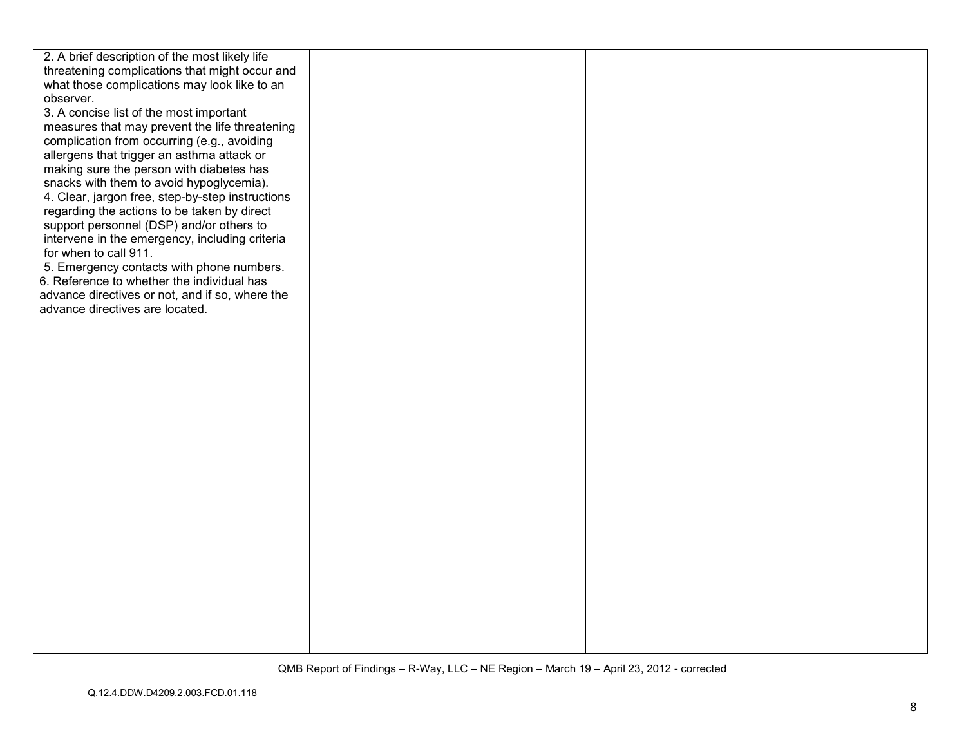| 2. A brief description of the most likely life   |  |  |
|--------------------------------------------------|--|--|
| threatening complications that might occur and   |  |  |
|                                                  |  |  |
| what those complications may look like to an     |  |  |
| observer.                                        |  |  |
| 3. A concise list of the most important          |  |  |
| measures that may prevent the life threatening   |  |  |
| complication from occurring (e.g., avoiding      |  |  |
| allergens that trigger an asthma attack or       |  |  |
| making sure the person with diabetes has         |  |  |
| snacks with them to avoid hypoglycemia).         |  |  |
| 4. Clear, jargon free, step-by-step instructions |  |  |
| regarding the actions to be taken by direct      |  |  |
| support personnel (DSP) and/or others to         |  |  |
| intervene in the emergency, including criteria   |  |  |
| for when to call 911.                            |  |  |
| 5. Emergency contacts with phone numbers.        |  |  |
|                                                  |  |  |
| 6. Reference to whether the individual has       |  |  |
| advance directives or not, and if so, where the  |  |  |
| advance directives are located.                  |  |  |
|                                                  |  |  |
|                                                  |  |  |
|                                                  |  |  |
|                                                  |  |  |
|                                                  |  |  |
|                                                  |  |  |
|                                                  |  |  |
|                                                  |  |  |
|                                                  |  |  |
|                                                  |  |  |
|                                                  |  |  |
|                                                  |  |  |
|                                                  |  |  |
|                                                  |  |  |
|                                                  |  |  |
|                                                  |  |  |
|                                                  |  |  |
|                                                  |  |  |
|                                                  |  |  |
|                                                  |  |  |
|                                                  |  |  |
|                                                  |  |  |
|                                                  |  |  |
|                                                  |  |  |
|                                                  |  |  |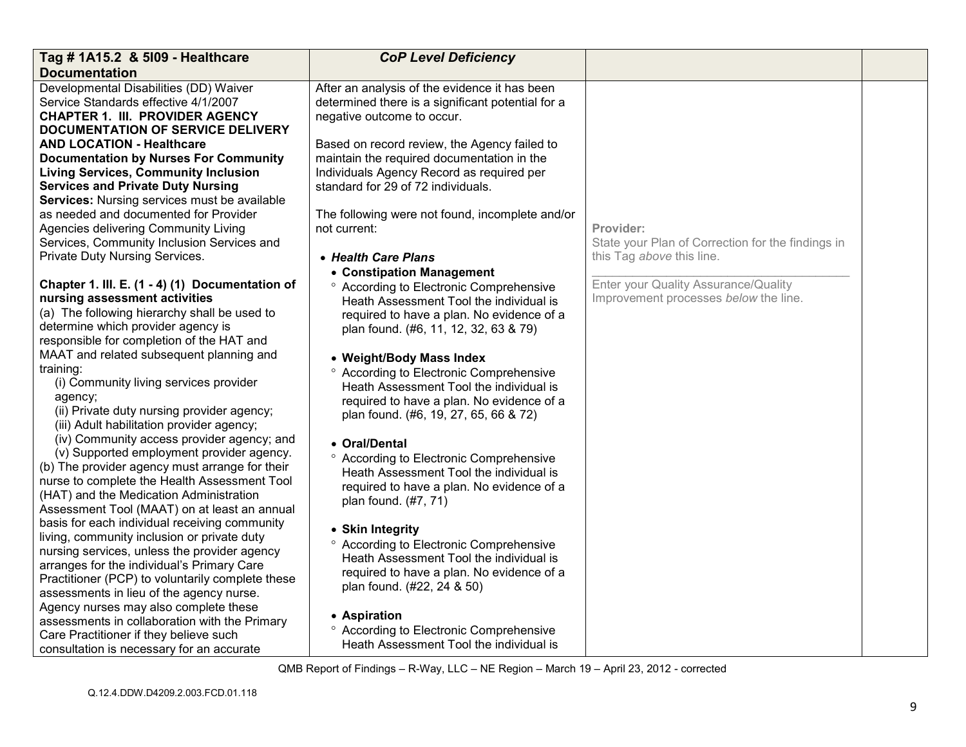| Tag # 1A15.2 & 5109 - Healthcare<br><b>Documentation</b>                                    | <b>CoP Level Deficiency</b>                                                          |                                                                                |  |
|---------------------------------------------------------------------------------------------|--------------------------------------------------------------------------------------|--------------------------------------------------------------------------------|--|
| Developmental Disabilities (DD) Waiver                                                      | After an analysis of the evidence it has been                                        |                                                                                |  |
| Service Standards effective 4/1/2007<br><b>CHAPTER 1. III. PROVIDER AGENCY</b>              | determined there is a significant potential for a<br>negative outcome to occur.      |                                                                                |  |
| <b>DOCUMENTATION OF SERVICE DELIVERY</b><br><b>AND LOCATION - Healthcare</b>                | Based on record review, the Agency failed to                                         |                                                                                |  |
| <b>Documentation by Nurses For Community</b>                                                | maintain the required documentation in the                                           |                                                                                |  |
| <b>Living Services, Community Inclusion</b><br><b>Services and Private Duty Nursing</b>     | Individuals Agency Record as required per<br>standard for 29 of 72 individuals.      |                                                                                |  |
| Services: Nursing services must be available<br>as needed and documented for Provider       |                                                                                      |                                                                                |  |
| Agencies delivering Community Living                                                        | The following were not found, incomplete and/or<br>not current:                      | Provider:                                                                      |  |
| Services, Community Inclusion Services and<br>Private Duty Nursing Services.                | • Health Care Plans                                                                  | State your Plan of Correction for the findings in<br>this Tag above this line. |  |
|                                                                                             | • Constipation Management                                                            |                                                                                |  |
| Chapter 1. III. E. (1 - 4) (1) Documentation of                                             | <sup>o</sup> According to Electronic Comprehensive                                   | Enter your Quality Assurance/Quality                                           |  |
| nursing assessment activities<br>(a) The following hierarchy shall be used to               | Heath Assessment Tool the individual is                                              | Improvement processes below the line.                                          |  |
| determine which provider agency is                                                          | required to have a plan. No evidence of a<br>plan found. (#6, 11, 12, 32, 63 & 79)   |                                                                                |  |
| responsible for completion of the HAT and                                                   |                                                                                      |                                                                                |  |
| MAAT and related subsequent planning and                                                    | • Weight/Body Mass Index                                                             |                                                                                |  |
| training:<br>(i) Community living services provider                                         | <sup>o</sup> According to Electronic Comprehensive                                   |                                                                                |  |
| agency;                                                                                     | Heath Assessment Tool the individual is<br>required to have a plan. No evidence of a |                                                                                |  |
| (ii) Private duty nursing provider agency;                                                  | plan found. (#6, 19, 27, 65, 66 & 72)                                                |                                                                                |  |
| (iii) Adult habilitation provider agency;<br>(iv) Community access provider agency; and     |                                                                                      |                                                                                |  |
| (v) Supported employment provider agency.                                                   | • Oral/Dental<br><sup>o</sup> According to Electronic Comprehensive                  |                                                                                |  |
| (b) The provider agency must arrange for their                                              | Heath Assessment Tool the individual is                                              |                                                                                |  |
| nurse to complete the Health Assessment Tool<br>(HAT) and the Medication Administration     | required to have a plan. No evidence of a                                            |                                                                                |  |
| Assessment Tool (MAAT) on at least an annual                                                | plan found. (#7, 71)                                                                 |                                                                                |  |
| basis for each individual receiving community                                               | • Skin Integrity                                                                     |                                                                                |  |
| living, community inclusion or private duty<br>nursing services, unless the provider agency | <sup>o</sup> According to Electronic Comprehensive                                   |                                                                                |  |
| arranges for the individual's Primary Care                                                  | Heath Assessment Tool the individual is                                              |                                                                                |  |
| Practitioner (PCP) to voluntarily complete these                                            | required to have a plan. No evidence of a<br>plan found. (#22, 24 & 50)              |                                                                                |  |
| assessments in lieu of the agency nurse.                                                    |                                                                                      |                                                                                |  |
| Agency nurses may also complete these<br>assessments in collaboration with the Primary      | • Aspiration                                                                         |                                                                                |  |
| Care Practitioner if they believe such                                                      | <sup>o</sup> According to Electronic Comprehensive                                   |                                                                                |  |
| consultation is necessary for an accurate                                                   | Heath Assessment Tool the individual is                                              |                                                                                |  |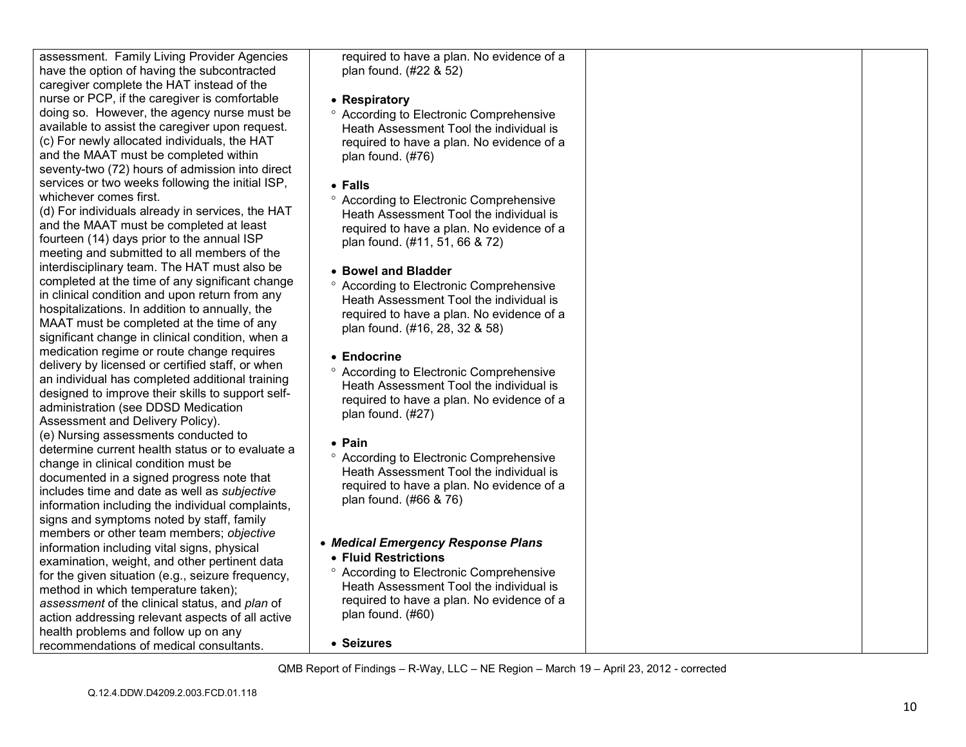assessment. Family Living Provider Agencies have the option of having the subcontracted caregiver complete the HAT instead of the nurse or PCP, if the caregiver is comfortable doing so. However, the agency nurse must be available to assist the caregiver upon request. (c) For newly allocated individuals, the HAT and the MAAT must be completed within seventy-two (72) hours of admission into direct services or two weeks following the initial ISP, whichever comes first.

 (d) For individuals already in services, the HAT and the MAAT must be completed at least fourteen (14) days prior to the annual ISP meeting and submitted to all members of the interdisciplinary team. The HAT must also be completed at the time of any significant change in clinical condition and upon return from any hospitalizations. In addition to annually, the MAAT must be completed at the time of any significant change in clinical condition, when a medication regime or route change requires delivery by licensed or certified staff, or when an individual has completed additional training designed to improve their skills to support selfadministration (see DDSD Medication Assessment and Delivery Policy). (e) Nursing assessments conducted to determine current health status or to evaluate a change in clinical condition must be documented in a signed progress note that includes time and date as well as *subjective*  information including the individual complaints, signs and symptoms noted by staff, family members or other team members; *objective* information including vital signs, physical examination, weight, and other pertinent data for the given situation (e.g., seizure frequency, method in which temperature taken); *assessment* of the clinical status, and *plan* of action addressing relevant aspects of all active health problems and follow up on any recommendations of medical consultants.

required to have a plan. No evidence of a plan found. (#22 & 52)

- **Respiratory**
- ° According to Electronic Comprehensive Heath Assessment Tool the individual is required to have a plan. No evidence of a plan found. (#76)
- **Falls**
- ° According to Electronic Comprehensive Heath Assessment Tool the individual is required to have a plan. No evidence of a plan found. (#11, 51, 66 & 72)
- **Bowel and Bladder**
- ° According to Electronic Comprehensive Heath Assessment Tool the individual is required to have a plan. No evidence of a plan found. (#16, 28, 32 & 58)
- **Endocrine**
- ° According to Electronic Comprehensive Heath Assessment Tool the individual is required to have a plan. No evidence of a plan found. (#27)
- **Pain**
- ° According to Electronic Comprehensive Heath Assessment Tool the individual is required to have a plan. No evidence of a plan found. (#66 & 76)
- *Medical Emergency Response Plans*
- **Fluid Restrictions**
- ° According to Electronic Comprehensive Heath Assessment Tool the individual is required to have a plan. No evidence of a plan found. (#60)
- **Seizures**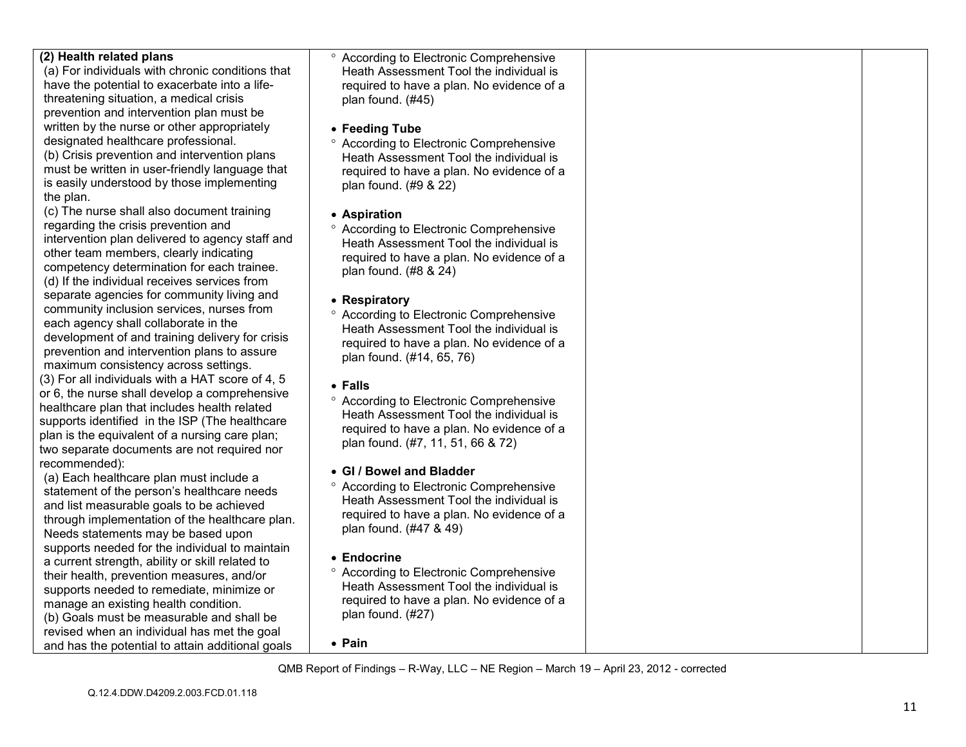| (2) Health related plans<br>(a) For individuals with chronic conditions that<br>have the potential to exacerbate into a life-<br>threatening situation, a medical crisis<br>prevention and intervention plan must be<br>written by the nurse or other appropriately<br>designated healthcare professional.<br>(b) Crisis prevention and intervention plans<br>must be written in user-friendly language that<br>is easily understood by those implementing<br>the plan. | <sup>o</sup> According to Electronic Comprehensive<br>Heath Assessment Tool the individual is<br>required to have a plan. No evidence of a<br>plan found. (#45)<br>• Feeding Tube<br><sup>o</sup> According to Electronic Comprehensive<br>Heath Assessment Tool the individual is<br>required to have a plan. No evidence of a<br>plan found. (#9 & 22) |  |
|-------------------------------------------------------------------------------------------------------------------------------------------------------------------------------------------------------------------------------------------------------------------------------------------------------------------------------------------------------------------------------------------------------------------------------------------------------------------------|----------------------------------------------------------------------------------------------------------------------------------------------------------------------------------------------------------------------------------------------------------------------------------------------------------------------------------------------------------|--|
| (c) The nurse shall also document training<br>regarding the crisis prevention and<br>intervention plan delivered to agency staff and<br>other team members, clearly indicating<br>competency determination for each trainee.<br>(d) If the individual receives services from                                                                                                                                                                                            | • Aspiration<br><sup>o</sup> According to Electronic Comprehensive<br>Heath Assessment Tool the individual is<br>required to have a plan. No evidence of a<br>plan found. (#8 & 24)                                                                                                                                                                      |  |
| separate agencies for community living and<br>community inclusion services, nurses from<br>each agency shall collaborate in the<br>development of and training delivery for crisis<br>prevention and intervention plans to assure<br>maximum consistency across settings.                                                                                                                                                                                               | • Respiratory<br><sup>o</sup> According to Electronic Comprehensive<br>Heath Assessment Tool the individual is<br>required to have a plan. No evidence of a<br>plan found. (#14, 65, 76)                                                                                                                                                                 |  |
| (3) For all individuals with a HAT score of 4, 5<br>or 6, the nurse shall develop a comprehensive<br>healthcare plan that includes health related<br>supports identified in the ISP (The healthcare<br>plan is the equivalent of a nursing care plan;<br>two separate documents are not required nor                                                                                                                                                                    | • Falls<br><sup>o</sup> According to Electronic Comprehensive<br>Heath Assessment Tool the individual is<br>required to have a plan. No evidence of a<br>plan found. (#7, 11, 51, 66 & 72)                                                                                                                                                               |  |
| recommended):<br>(a) Each healthcare plan must include a<br>statement of the person's healthcare needs<br>and list measurable goals to be achieved<br>through implementation of the healthcare plan.<br>Needs statements may be based upon                                                                                                                                                                                                                              | • GI / Bowel and Bladder<br><sup>o</sup> According to Electronic Comprehensive<br>Heath Assessment Tool the individual is<br>required to have a plan. No evidence of a<br>plan found. (#47 & 49)                                                                                                                                                         |  |
| supports needed for the individual to maintain<br>a current strength, ability or skill related to<br>their health, prevention measures, and/or<br>supports needed to remediate, minimize or<br>manage an existing health condition.<br>(b) Goals must be measurable and shall be<br>revised when an individual has met the goal                                                                                                                                         | • Endocrine<br><sup>o</sup> According to Electronic Comprehensive<br>Heath Assessment Tool the individual is<br>required to have a plan. No evidence of a<br>plan found. (#27)                                                                                                                                                                           |  |
| and has the potential to attain additional goals                                                                                                                                                                                                                                                                                                                                                                                                                        | • Pain<br>QMB Report of Findings - R-Way, LLC - NE Region - March 19 - April 23, 2012 - corrected                                                                                                                                                                                                                                                        |  |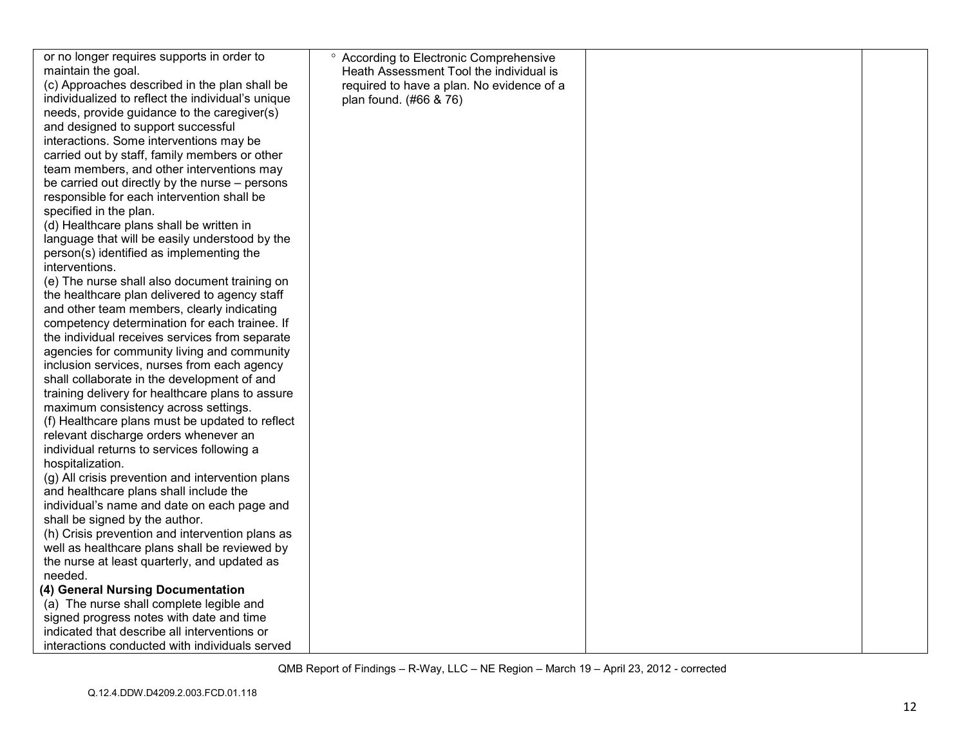| or no longer requires supports in order to                                                                                                                                                                                                                                                                                               | <sup>o</sup> According to Electronic Comprehensive |  |
|------------------------------------------------------------------------------------------------------------------------------------------------------------------------------------------------------------------------------------------------------------------------------------------------------------------------------------------|----------------------------------------------------|--|
| maintain the goal.                                                                                                                                                                                                                                                                                                                       | Heath Assessment Tool the individual is            |  |
| (c) Approaches described in the plan shall be                                                                                                                                                                                                                                                                                            | required to have a plan. No evidence of a          |  |
| individualized to reflect the individual's unique                                                                                                                                                                                                                                                                                        | plan found. (#66 & 76)                             |  |
| needs, provide guidance to the caregiver(s)                                                                                                                                                                                                                                                                                              |                                                    |  |
| and designed to support successful                                                                                                                                                                                                                                                                                                       |                                                    |  |
| interactions. Some interventions may be                                                                                                                                                                                                                                                                                                  |                                                    |  |
| carried out by staff, family members or other                                                                                                                                                                                                                                                                                            |                                                    |  |
| team members, and other interventions may                                                                                                                                                                                                                                                                                                |                                                    |  |
| be carried out directly by the nurse - persons                                                                                                                                                                                                                                                                                           |                                                    |  |
| responsible for each intervention shall be                                                                                                                                                                                                                                                                                               |                                                    |  |
| specified in the plan.                                                                                                                                                                                                                                                                                                                   |                                                    |  |
| (d) Healthcare plans shall be written in                                                                                                                                                                                                                                                                                                 |                                                    |  |
| language that will be easily understood by the                                                                                                                                                                                                                                                                                           |                                                    |  |
| person(s) identified as implementing the                                                                                                                                                                                                                                                                                                 |                                                    |  |
| interventions.                                                                                                                                                                                                                                                                                                                           |                                                    |  |
| (e) The nurse shall also document training on                                                                                                                                                                                                                                                                                            |                                                    |  |
| the healthcare plan delivered to agency staff                                                                                                                                                                                                                                                                                            |                                                    |  |
| and other team members, clearly indicating                                                                                                                                                                                                                                                                                               |                                                    |  |
| competency determination for each trainee. If                                                                                                                                                                                                                                                                                            |                                                    |  |
| the individual receives services from separate                                                                                                                                                                                                                                                                                           |                                                    |  |
| agencies for community living and community                                                                                                                                                                                                                                                                                              |                                                    |  |
| inclusion services, nurses from each agency                                                                                                                                                                                                                                                                                              |                                                    |  |
| shall collaborate in the development of and                                                                                                                                                                                                                                                                                              |                                                    |  |
| training delivery for healthcare plans to assure<br>maximum consistency across settings.                                                                                                                                                                                                                                                 |                                                    |  |
| (f) Healthcare plans must be updated to reflect                                                                                                                                                                                                                                                                                          |                                                    |  |
| relevant discharge orders whenever an                                                                                                                                                                                                                                                                                                    |                                                    |  |
| individual returns to services following a                                                                                                                                                                                                                                                                                               |                                                    |  |
| hospitalization.                                                                                                                                                                                                                                                                                                                         |                                                    |  |
| (g) All crisis prevention and intervention plans                                                                                                                                                                                                                                                                                         |                                                    |  |
| and healthcare plans shall include the                                                                                                                                                                                                                                                                                                   |                                                    |  |
| individual's name and date on each page and                                                                                                                                                                                                                                                                                              |                                                    |  |
| shall be signed by the author.                                                                                                                                                                                                                                                                                                           |                                                    |  |
|                                                                                                                                                                                                                                                                                                                                          |                                                    |  |
|                                                                                                                                                                                                                                                                                                                                          |                                                    |  |
|                                                                                                                                                                                                                                                                                                                                          |                                                    |  |
|                                                                                                                                                                                                                                                                                                                                          |                                                    |  |
|                                                                                                                                                                                                                                                                                                                                          |                                                    |  |
|                                                                                                                                                                                                                                                                                                                                          |                                                    |  |
|                                                                                                                                                                                                                                                                                                                                          |                                                    |  |
|                                                                                                                                                                                                                                                                                                                                          |                                                    |  |
| interactions conducted with individuals served                                                                                                                                                                                                                                                                                           |                                                    |  |
| (h) Crisis prevention and intervention plans as<br>well as healthcare plans shall be reviewed by<br>the nurse at least quarterly, and updated as<br>needed.<br>(4) General Nursing Documentation<br>(a) The nurse shall complete legible and<br>signed progress notes with date and time<br>indicated that describe all interventions or |                                                    |  |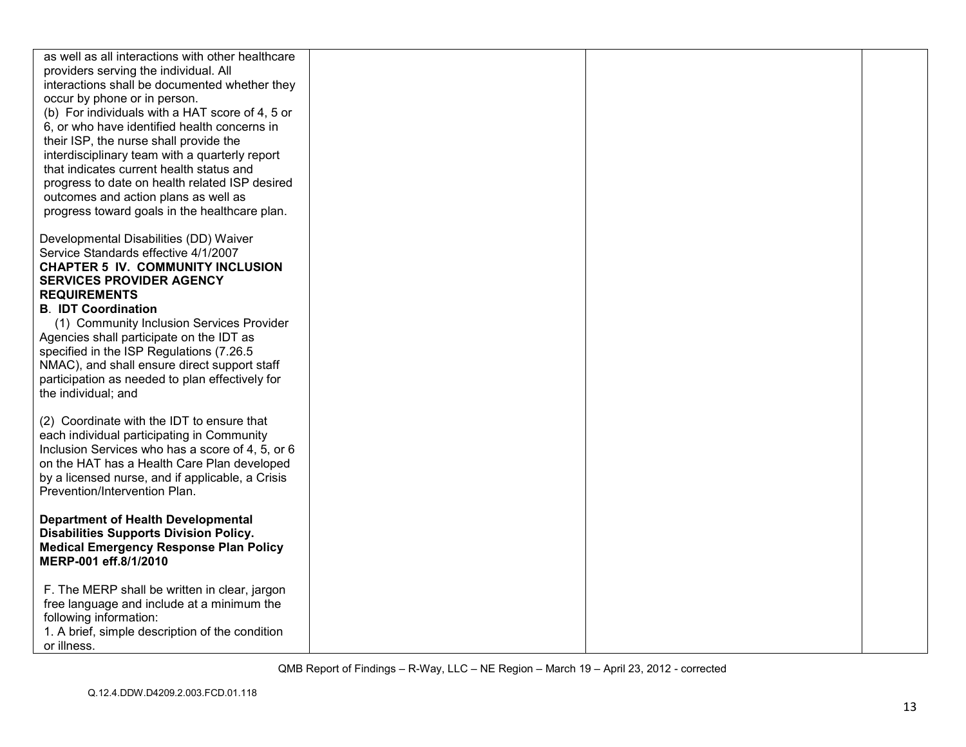| as well as all interactions with other healthcare                                              |  |  |
|------------------------------------------------------------------------------------------------|--|--|
| providers serving the individual. All<br>interactions shall be documented whether they         |  |  |
| occur by phone or in person.                                                                   |  |  |
| (b) For individuals with a HAT score of 4, 5 or                                                |  |  |
| 6, or who have identified health concerns in                                                   |  |  |
| their ISP, the nurse shall provide the                                                         |  |  |
| interdisciplinary team with a quarterly report                                                 |  |  |
| that indicates current health status and                                                       |  |  |
| progress to date on health related ISP desired                                                 |  |  |
| outcomes and action plans as well as                                                           |  |  |
| progress toward goals in the healthcare plan.                                                  |  |  |
| Developmental Disabilities (DD) Waiver                                                         |  |  |
| Service Standards effective 4/1/2007                                                           |  |  |
| <b>CHAPTER 5 IV. COMMUNITY INCLUSION</b>                                                       |  |  |
| <b>SERVICES PROVIDER AGENCY</b>                                                                |  |  |
| <b>REQUIREMENTS</b>                                                                            |  |  |
| <b>B. IDT Coordination</b>                                                                     |  |  |
| (1) Community Inclusion Services Provider<br>Agencies shall participate on the IDT as          |  |  |
| specified in the ISP Regulations (7.26.5)                                                      |  |  |
| NMAC), and shall ensure direct support staff                                                   |  |  |
| participation as needed to plan effectively for                                                |  |  |
| the individual; and                                                                            |  |  |
|                                                                                                |  |  |
| (2) Coordinate with the IDT to ensure that                                                     |  |  |
| each individual participating in Community<br>Inclusion Services who has a score of 4, 5, or 6 |  |  |
| on the HAT has a Health Care Plan developed                                                    |  |  |
| by a licensed nurse, and if applicable, a Crisis                                               |  |  |
| Prevention/Intervention Plan.                                                                  |  |  |
|                                                                                                |  |  |
| <b>Department of Health Developmental</b>                                                      |  |  |
| <b>Disabilities Supports Division Policy.</b><br><b>Medical Emergency Response Plan Policy</b> |  |  |
| MERP-001 eff.8/1/2010                                                                          |  |  |
|                                                                                                |  |  |
| F. The MERP shall be written in clear, jargon                                                  |  |  |
| free language and include at a minimum the                                                     |  |  |
| following information:                                                                         |  |  |
| 1. A brief, simple description of the condition                                                |  |  |
| or illness.                                                                                    |  |  |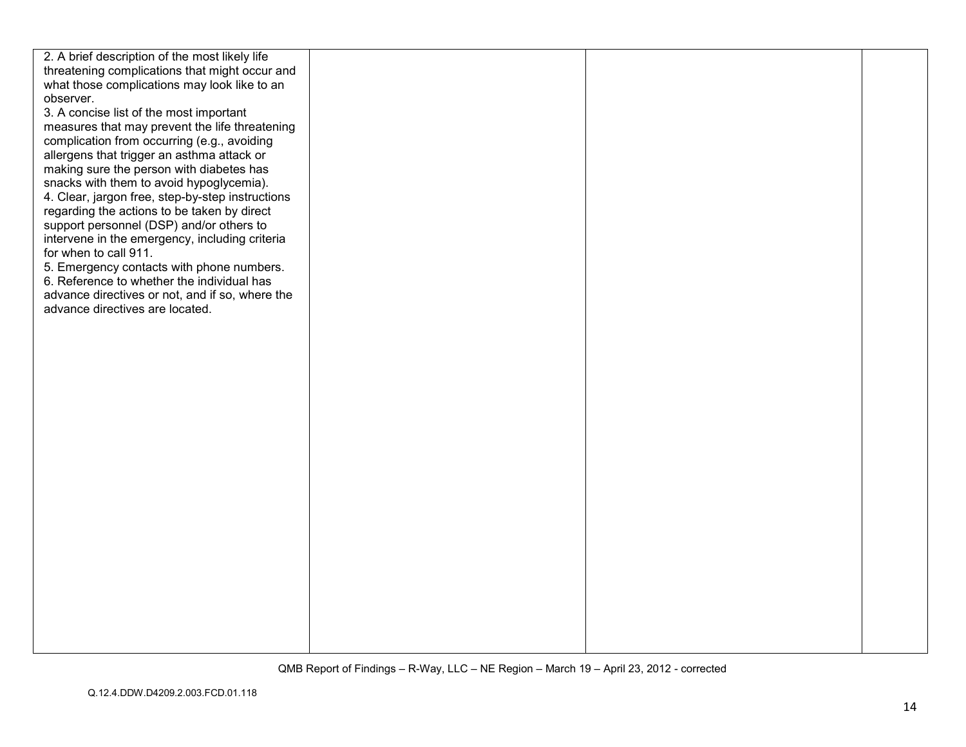| 2. A brief description of the most likely life   |  |  |
|--------------------------------------------------|--|--|
| threatening complications that might occur and   |  |  |
| what those complications may look like to an     |  |  |
| observer.                                        |  |  |
| 3. A concise list of the most important          |  |  |
| measures that may prevent the life threatening   |  |  |
| complication from occurring (e.g., avoiding      |  |  |
| allergens that trigger an asthma attack or       |  |  |
| making sure the person with diabetes has         |  |  |
| snacks with them to avoid hypoglycemia).         |  |  |
| 4. Clear, jargon free, step-by-step instructions |  |  |
| regarding the actions to be taken by direct      |  |  |
| support personnel (DSP) and/or others to         |  |  |
| intervene in the emergency, including criteria   |  |  |
| for when to call 911.                            |  |  |
| 5. Emergency contacts with phone numbers.        |  |  |
| 6. Reference to whether the individual has       |  |  |
| advance directives or not, and if so, where the  |  |  |
| advance directives are located.                  |  |  |
|                                                  |  |  |
|                                                  |  |  |
|                                                  |  |  |
|                                                  |  |  |
|                                                  |  |  |
|                                                  |  |  |
|                                                  |  |  |
|                                                  |  |  |
|                                                  |  |  |
|                                                  |  |  |
|                                                  |  |  |
|                                                  |  |  |
|                                                  |  |  |
|                                                  |  |  |
|                                                  |  |  |
|                                                  |  |  |
|                                                  |  |  |
|                                                  |  |  |
|                                                  |  |  |
|                                                  |  |  |
|                                                  |  |  |
|                                                  |  |  |
|                                                  |  |  |
|                                                  |  |  |
|                                                  |  |  |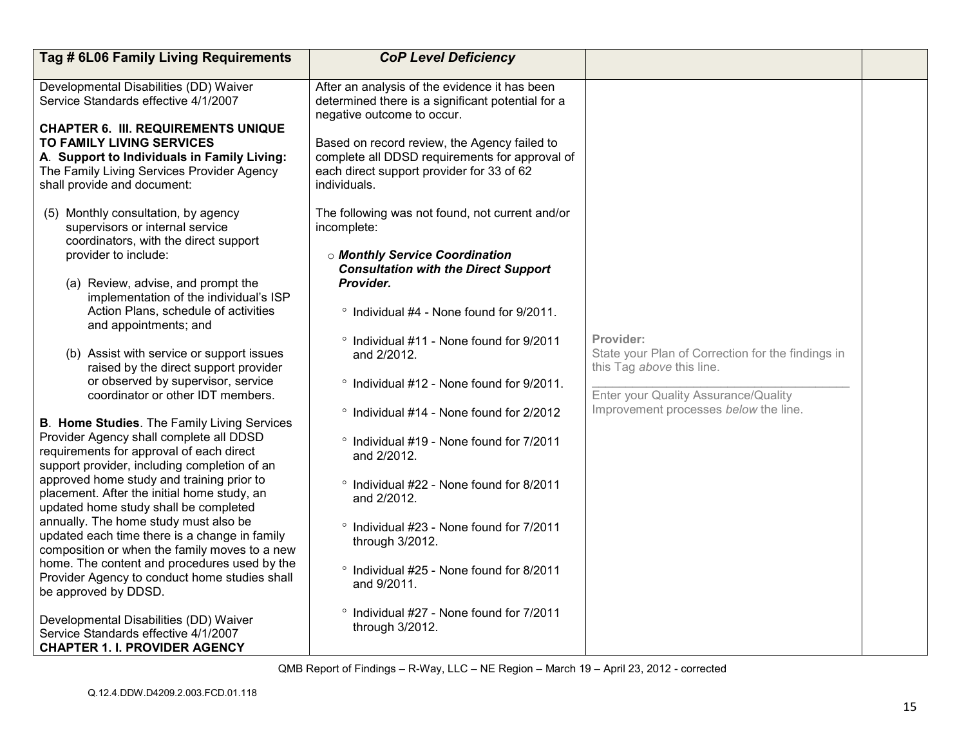| Tag # 6L06 Family Living Requirements                                                                                                                        | <b>CoP Level Deficiency</b>                                                                                                                                 |                                                                                             |  |
|--------------------------------------------------------------------------------------------------------------------------------------------------------------|-------------------------------------------------------------------------------------------------------------------------------------------------------------|---------------------------------------------------------------------------------------------|--|
| Developmental Disabilities (DD) Waiver<br>Service Standards effective 4/1/2007<br><b>CHAPTER 6. III. REQUIREMENTS UNIQUE</b>                                 | After an analysis of the evidence it has been<br>determined there is a significant potential for a<br>negative outcome to occur.                            |                                                                                             |  |
| <b>TO FAMILY LIVING SERVICES</b><br>A. Support to Individuals in Family Living:<br>The Family Living Services Provider Agency<br>shall provide and document: | Based on record review, the Agency failed to<br>complete all DDSD requirements for approval of<br>each direct support provider for 33 of 62<br>individuals. |                                                                                             |  |
| (5) Monthly consultation, by agency<br>supervisors or internal service<br>coordinators, with the direct support                                              | The following was not found, not current and/or<br>incomplete:                                                                                              |                                                                                             |  |
| provider to include:                                                                                                                                         | <b>o Monthly Service Coordination</b><br><b>Consultation with the Direct Support</b>                                                                        |                                                                                             |  |
| (a) Review, advise, and prompt the<br>implementation of the individual's ISP                                                                                 | Provider.                                                                                                                                                   |                                                                                             |  |
| Action Plans, schedule of activities<br>and appointments; and                                                                                                | ° Individual #4 - None found for 9/2011.                                                                                                                    |                                                                                             |  |
| (b) Assist with service or support issues<br>raised by the direct support provider                                                                           | ° Individual #11 - None found for 9/2011<br>and 2/2012.                                                                                                     | Provider:<br>State your Plan of Correction for the findings in<br>this Tag above this line. |  |
| or observed by supervisor, service<br>coordinator or other IDT members.                                                                                      | ° Individual #12 - None found for 9/2011.                                                                                                                   | Enter your Quality Assurance/Quality                                                        |  |
| <b>B. Home Studies. The Family Living Services</b>                                                                                                           | ° Individual #14 - None found for 2/2012                                                                                                                    | Improvement processes below the line.                                                       |  |
| Provider Agency shall complete all DDSD<br>requirements for approval of each direct<br>support provider, including completion of an                          | ° Individual #19 - None found for 7/2011<br>and 2/2012.                                                                                                     |                                                                                             |  |
| approved home study and training prior to<br>placement. After the initial home study, an<br>updated home study shall be completed                            | ° Individual #22 - None found for 8/2011<br>and 2/2012.                                                                                                     |                                                                                             |  |
| annually. The home study must also be<br>updated each time there is a change in family<br>composition or when the family moves to a new                      | <sup>o</sup> Individual #23 - None found for 7/2011<br>through 3/2012.                                                                                      |                                                                                             |  |
| home. The content and procedures used by the<br>Provider Agency to conduct home studies shall<br>be approved by DDSD.                                        | ° Individual #25 - None found for 8/2011<br>and 9/2011.                                                                                                     |                                                                                             |  |
| Developmental Disabilities (DD) Waiver<br>Service Standards effective 4/1/2007<br><b>CHAPTER 1. I. PROVIDER AGENCY</b>                                       | <sup>o</sup> Individual #27 - None found for 7/2011<br>through 3/2012.                                                                                      |                                                                                             |  |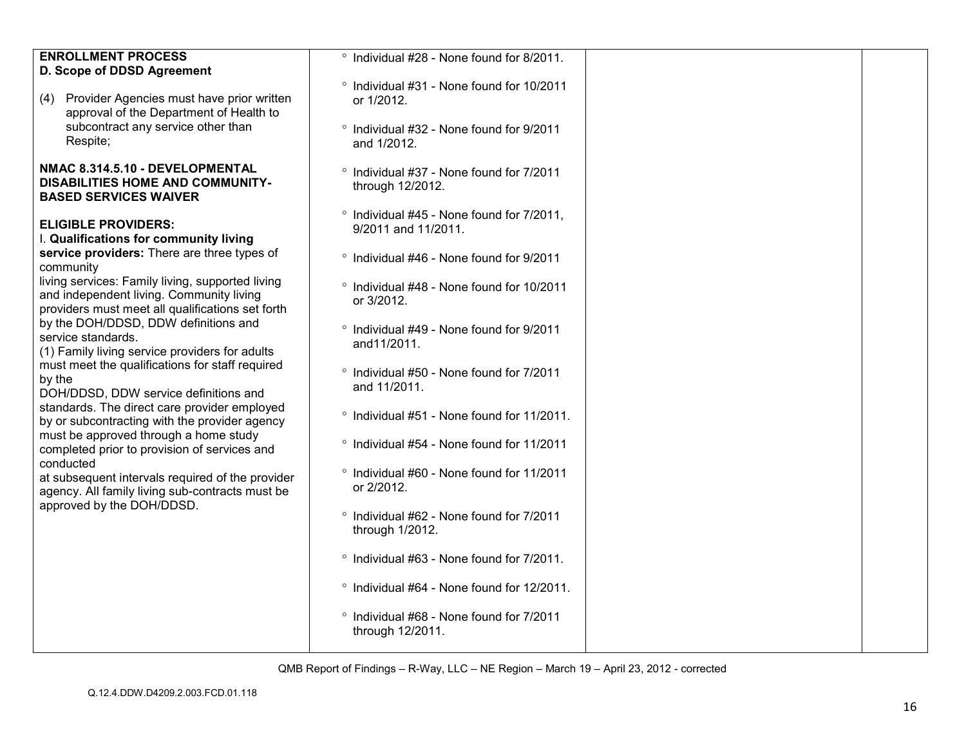| <b>ENROLLMENT PROCESS</b><br>D. Scope of DDSD Agreement<br>(4) Provider Agencies must have prior written<br>approval of the Department of Health to<br>subcontract any service other than<br>Respite;                                                                                                                                                                                                                                                                                                                                                                                                                                                                                                                                                                                                                                                 | ° Individual #28 - None found for 8/2011.<br>° Individual #31 - None found for 10/2011<br>or 1/2012.<br>° Individual #32 - None found for 9/2011<br>and 1/2012.                                                                                                                                                                                                                                                                                                                                                                                                                                                                                                                           |  |
|-------------------------------------------------------------------------------------------------------------------------------------------------------------------------------------------------------------------------------------------------------------------------------------------------------------------------------------------------------------------------------------------------------------------------------------------------------------------------------------------------------------------------------------------------------------------------------------------------------------------------------------------------------------------------------------------------------------------------------------------------------------------------------------------------------------------------------------------------------|-------------------------------------------------------------------------------------------------------------------------------------------------------------------------------------------------------------------------------------------------------------------------------------------------------------------------------------------------------------------------------------------------------------------------------------------------------------------------------------------------------------------------------------------------------------------------------------------------------------------------------------------------------------------------------------------|--|
| NMAC 8.314.5.10 - DEVELOPMENTAL<br><b>DISABILITIES HOME AND COMMUNITY-</b><br><b>BASED SERVICES WAIVER</b>                                                                                                                                                                                                                                                                                                                                                                                                                                                                                                                                                                                                                                                                                                                                            | <sup>o</sup> Individual #37 - None found for 7/2011<br>through 12/2012.                                                                                                                                                                                                                                                                                                                                                                                                                                                                                                                                                                                                                   |  |
| <b>ELIGIBLE PROVIDERS:</b><br>I. Qualifications for community living<br>service providers: There are three types of<br>community<br>living services: Family living, supported living<br>and independent living. Community living<br>providers must meet all qualifications set forth<br>by the DOH/DDSD, DDW definitions and<br>service standards.<br>(1) Family living service providers for adults<br>must meet the qualifications for staff required<br>by the<br>DOH/DDSD, DDW service definitions and<br>standards. The direct care provider employed<br>by or subcontracting with the provider agency<br>must be approved through a home study<br>completed prior to provision of services and<br>conducted<br>at subsequent intervals required of the provider<br>agency. All family living sub-contracts must be<br>approved by the DOH/DDSD. | <sup>o</sup> Individual #45 - None found for 7/2011,<br>9/2011 and 11/2011.<br>° Individual #46 - None found for 9/2011<br>° Individual #48 - None found for 10/2011<br>or 3/2012.<br>° Individual #49 - None found for 9/2011<br>and11/2011.<br>° Individual #50 - None found for 7/2011<br>and 11/2011.<br>° Individual #51 - None found for 11/2011.<br>° Individual #54 - None found for 11/2011<br>° Individual #60 - None found for 11/2011<br>or 2/2012.<br>° Individual #62 - None found for 7/2011<br>through 1/2012.<br>° Individual #63 - None found for 7/2011.<br>° Individual #64 - None found for 12/2011.<br>° Individual #68 - None found for 7/2011<br>through 12/2011. |  |